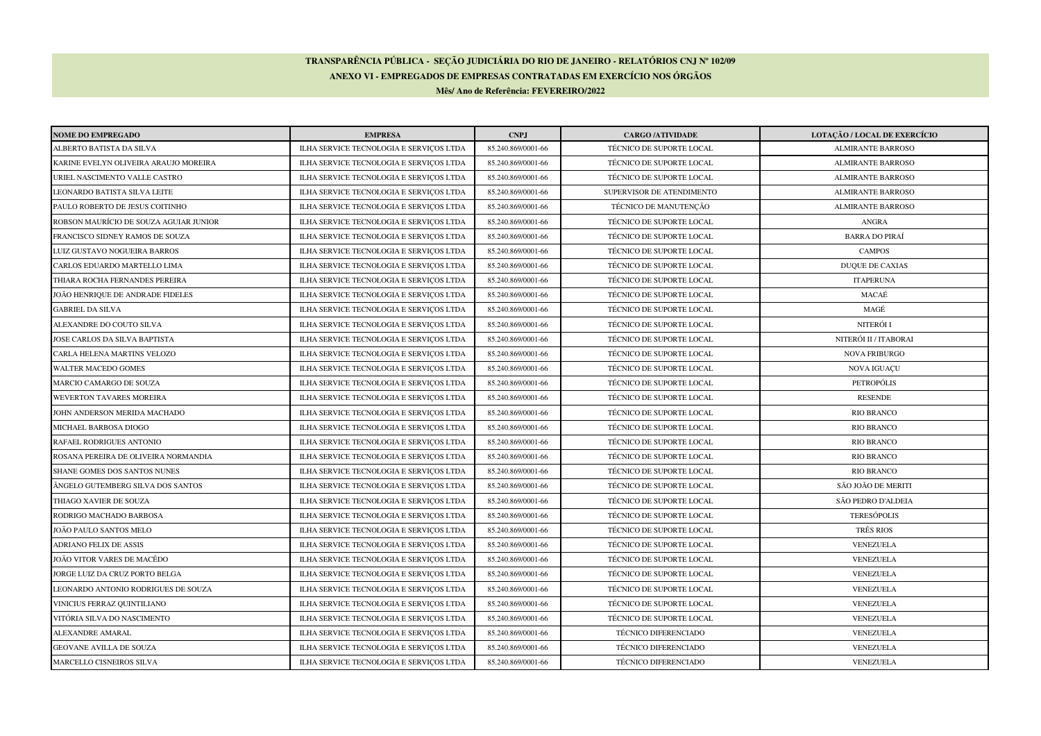## **TRANSPARÊNCIA PÚBLICA - SEÇÃO JUDICIÁRIA DO RIO DE JANEIRO - RELATÓRIOS CNJ Nº 102/09ANEXO VI - EMPREGADOS DE EMPRESAS CONTRATADAS EM EXERCÍCIO NOS ÓRGÃOSMês/ Ano de Referência: FEVEREIRO/2022**

| <b>NOME DO EMPREGADO</b>               | <b>EMPRESA</b>                          | <b>CNPJ</b>        | <b>CARGO /ATIVIDADE</b>   | LOTAÇÃO / LOCAL DE EXERCÍCIO |
|----------------------------------------|-----------------------------------------|--------------------|---------------------------|------------------------------|
| ALBERTO BATISTA DA SILVA               | ILHA SERVICE TECNOLOGIA E SERVIÇOS LTDA | 85.240.869/0001-66 | TÉCNICO DE SUPORTE LOCAL  | <b>ALMIRANTE BARROSO</b>     |
| KARINE EVELYN OLIVEIRA ARAUJO MOREIRA  | ILHA SERVICE TECNOLOGIA E SERVIÇOS LTDA | 85.240.869/0001-66 | TÉCNICO DE SUPORTE LOCAL  | <b>ALMIRANTE BARROSO</b>     |
| URIEL NASCIMENTO VALLE CASTRO          | ILHA SERVICE TECNOLOGIA E SERVICOS LTDA | 85.240.869/0001-66 | TÉCNICO DE SUPORTE LOCAL  | <b>ALMIRANTE BARROSO</b>     |
| LEONARDO BATISTA SILVA LEITE           | ILHA SERVICE TECNOLOGIA E SERVICOS LTDA | 85.240.869/0001-66 | SUPERVISOR DE ATENDIMENTO | <b>ALMIRANTE BARROSO</b>     |
| PAULO ROBERTO DE JESUS COITINHO        | ILHA SERVICE TECNOLOGIA E SERVIÇOS LTDA | 85.240.869/0001-66 | TÉCNICO DE MANUTENÇÃO     | <b>ALMIRANTE BARROSO</b>     |
| ROBSON MAURÍCIO DE SOUZA AGUIAR JUNIOR | ILHA SERVICE TECNOLOGIA E SERVIÇOS LTDA | 85.240.869/0001-66 | TÉCNICO DE SUPORTE LOCAL  | ANGRA                        |
| FRANCISCO SIDNEY RAMOS DE SOUZA        | ILHA SERVICE TECNOLOGIA E SERVICOS LTDA | 85.240.869/0001-66 | TÉCNICO DE SUPORTE LOCAL  | <b>BARRA DO PIRAÍ</b>        |
| LUIZ GUSTAVO NOGUEIRA BARROS           | ILHA SERVICE TECNOLOGIA E SERVIÇOS LTDA | 85.240.869/0001-66 | TÉCNICO DE SUPORTE LOCAL  | <b>CAMPOS</b>                |
| CARLOS EDUARDO MARTELLO LIMA           | ILHA SERVICE TECNOLOGIA E SERVIÇOS LTDA | 85.240.869/0001-66 | TÉCNICO DE SUPORTE LOCAL  | <b>DUQUE DE CAXIAS</b>       |
| THIARA ROCHA FERNANDES PEREIRA         | ILHA SERVICE TECNOLOGIA E SERVIÇOS LTDA | 85.240.869/0001-66 | TÉCNICO DE SUPORTE LOCAL  | <b>ITAPERUNA</b>             |
| JOÃO HENRIQUE DE ANDRADE FIDELES       | ILHA SERVICE TECNOLOGIA E SERVIÇOS LTDA | 85.240.869/0001-66 | TÉCNICO DE SUPORTE LOCAL  | MACAÉ                        |
| GABRIEL DA SILVA                       | ILHA SERVICE TECNOLOGIA E SERVIÇOS LTDA | 85.240.869/0001-66 | TÉCNICO DE SUPORTE LOCAL  | MAGÉ                         |
| ALEXANDRE DO COUTO SILVA               | ILHA SERVICE TECNOLOGIA E SERVIÇOS LTDA | 85.240.869/0001-66 | TÉCNICO DE SUPORTE LOCAL  | NITERÓI I                    |
| JOSE CARLOS DA SILVA BAPTISTA          | ILHA SERVICE TECNOLOGIA E SERVIÇOS LTDA | 85.240.869/0001-66 | TÉCNICO DE SUPORTE LOCAL  | NITERÓI II / ITABORAI        |
| CARLA HELENA MARTINS VELOZO            | ILHA SERVICE TECNOLOGIA E SERVIÇOS LTDA | 85.240.869/0001-66 | TÉCNICO DE SUPORTE LOCAL  | <b>NOVA FRIBURGO</b>         |
| WALTER MACEDO GOMES                    | ILHA SERVICE TECNOLOGIA E SERVIÇOS LTDA | 85.240.869/0001-66 | TÉCNICO DE SUPORTE LOCAL  | NOVA IGUAÇU                  |
| MARCIO CAMARGO DE SOUZA                | ILHA SERVICE TECNOLOGIA E SERVIÇOS LTDA | 85.240.869/0001-66 | TÉCNICO DE SUPORTE LOCAL  | PETROPÓLIS                   |
| WEVERTON TAVARES MOREIRA               | ILHA SERVICE TECNOLOGIA E SERVIÇOS LTDA | 85.240.869/0001-66 | TÉCNICO DE SUPORTE LOCAL  | <b>RESENDE</b>               |
| JOHN ANDERSON MERIDA MACHADO           | ILHA SERVICE TECNOLOGIA E SERVIÇOS LTDA | 85.240.869/0001-66 | TÉCNICO DE SUPORTE LOCAL  | <b>RIO BRANCO</b>            |
| MICHAEL BARBOSA DIOGO                  | ILHA SERVICE TECNOLOGIA E SERVIÇOS LTDA | 85.240.869/0001-66 | TÉCNICO DE SUPORTE LOCAL  | <b>RIO BRANCO</b>            |
| RAFAEL RODRIGUES ANTONIO               | ILHA SERVICE TECNOLOGIA E SERVIÇOS LTDA | 85.240.869/0001-66 | TÉCNICO DE SUPORTE LOCAL  | <b>RIO BRANCO</b>            |
| ROSANA PEREIRA DE OLIVEIRA NORMANDIA   | ILHA SERVICE TECNOLOGIA E SERVIÇOS LTDA | 85.240.869/0001-66 | TÉCNICO DE SUPORTE LOCAL  | <b>RIO BRANCO</b>            |
| SHANE GOMES DOS SANTOS NUNES           | ILHA SERVICE TECNOLOGIA E SERVIÇOS LTDA | 85.240.869/0001-66 | TÉCNICO DE SUPORTE LOCAL  | <b>RIO BRANCO</b>            |
| ÂNGELO GUTEMBERG SILVA DOS SANTOS      | ILHA SERVICE TECNOLOGIA E SERVIÇOS LTDA | 85.240.869/0001-66 | TÉCNICO DE SUPORTE LOCAL  | SÃO JOÃO DE MERITI           |
| THIAGO XAVIER DE SOUZA                 | ILHA SERVICE TECNOLOGIA E SERVIÇOS LTDA | 85.240.869/0001-66 | TÉCNICO DE SUPORTE LOCAL  | SÃO PEDRO D'ALDEIA           |
| RODRIGO MACHADO BARBOSA                | ILHA SERVICE TECNOLOGIA E SERVIÇOS LTDA | 85.240.869/0001-66 | TÉCNICO DE SUPORTE LOCAL  | <b>TERESÓPOLIS</b>           |
| JOÃO PAULO SANTOS MELO                 | ILHA SERVICE TECNOLOGIA E SERVIÇOS LTDA | 85.240.869/0001-66 | TÉCNICO DE SUPORTE LOCAL  | TRÊS RIOS                    |
| ADRIANO FELIX DE ASSIS                 | ILHA SERVICE TECNOLOGIA E SERVIÇOS LTDA | 85.240.869/0001-66 | TÉCNICO DE SUPORTE LOCAL  | VENEZUELA                    |
| JOÃO VITOR VARES DE MACÊDO             | ILHA SERVICE TECNOLOGIA E SERVIÇOS LTDA | 85.240.869/0001-66 | TÉCNICO DE SUPORTE LOCAL  | VENEZUELA                    |
| JORGE LUIZ DA CRUZ PORTO BELGA         | ILHA SERVICE TECNOLOGIA E SERVIÇOS LTDA | 85.240.869/0001-66 | TÉCNICO DE SUPORTE LOCAL  | VENEZUELA                    |
| LEONARDO ANTONIO RODRIGUES DE SOUZA    | ILHA SERVICE TECNOLOGIA E SERVIÇOS LTDA | 85.240.869/0001-66 | TÉCNICO DE SUPORTE LOCAL  | VENEZUELA                    |
| VINICIUS FERRAZ QUINTILIANO            | ILHA SERVICE TECNOLOGIA E SERVIÇOS LTDA | 85.240.869/0001-66 | TÉCNICO DE SUPORTE LOCAL  | VENEZUELA                    |
| VITÓRIA SILVA DO NASCIMENTO            | ILHA SERVICE TECNOLOGIA E SERVIÇOS LTDA | 85.240.869/0001-66 | TÉCNICO DE SUPORTE LOCAL  | VENEZUELA                    |
| ALEXANDRE AMARAL                       | ILHA SERVICE TECNOLOGIA E SERVIÇOS LTDA | 85.240.869/0001-66 | TÉCNICO DIFERENCIADO      | VENEZUELA                    |
| GEOVANE AVILLA DE SOUZA                | ILHA SERVICE TECNOLOGIA E SERVICOS LTDA | 85.240.869/0001-66 | TÉCNICO DIFERENCIADO      | VENEZUELA                    |
| MARCELLO CISNEIROS SILVA               | ILHA SERVICE TECNOLOGIA E SERVIÇOS LTDA | 85.240.869/0001-66 | TÉCNICO DIFERENCIADO      | VENEZUELA                    |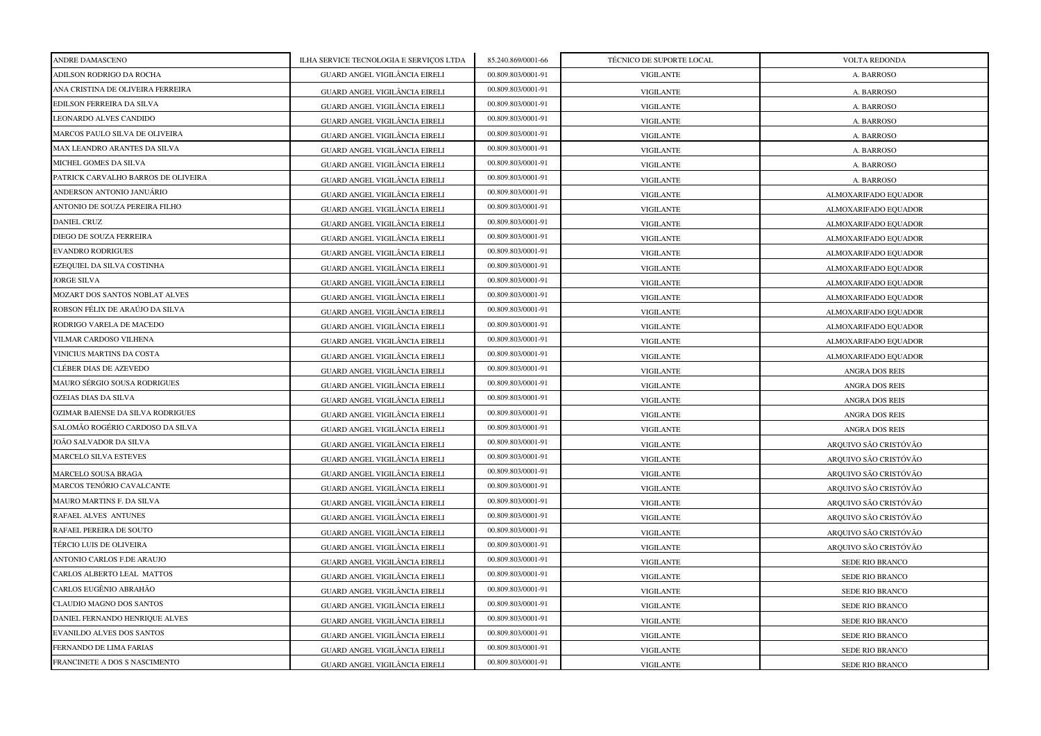| ANDRE DAMASCENO                     | ILHA SERVICE TECNOLOGIA E SERVIÇOS LTDA | 85.240.869/0001-66 | TÉCNICO DE SUPORTE LOCAL | VOLTA REDONDA         |
|-------------------------------------|-----------------------------------------|--------------------|--------------------------|-----------------------|
| ADILSON RODRIGO DA ROCHA            | GUARD ANGEL VIGILÂNCIA EIRELI           | 00.809.803/0001-91 | <b>VIGILANTE</b>         | A. BARROSO            |
| ANA CRISTINA DE OLIVEIRA FERREIRA   | GUARD ANGEL VIGILÂNCIA EIRELI           | 00.809.803/0001-91 | <b>VIGILANTE</b>         | A. BARROSO            |
| EDILSON FERREIRA DA SILVA           | GUARD ANGEL VIGILÂNCIA EIRELI           | 00.809.803/0001-91 | <b>VIGILANTE</b>         | A. BARROSO            |
| LEONARDO ALVES CANDIDO              | GUARD ANGEL VIGILÂNCIA EIRELI           | 00.809.803/0001-91 | <b>VIGILANTE</b>         | A. BARROSO            |
| MARCOS PAULO SILVA DE OLIVEIRA      | GUARD ANGEL VIGILÂNCIA EIRELI           | 00.809.803/0001-91 | <b>VIGILANTE</b>         | A. BARROSO            |
| MAX LEANDRO ARANTES DA SILVA        | GUARD ANGEL VIGILÂNCIA EIRELI           | 00.809.803/0001-91 | <b>VIGILANTE</b>         | A. BARROSO            |
| MICHEL GOMES DA SILVA               | GUARD ANGEL VIGILÂNCIA EIRELI           | 00.809.803/0001-91 | <b>VIGILANTE</b>         | A. BARROSO            |
| PATRICK CARVALHO BARROS DE OLIVEIRA | GUARD ANGEL VIGILÂNCIA EIRELI           | 00.809.803/0001-91 | <b>VIGILANTE</b>         | A. BARROSO            |
| ANDERSON ANTONIO JANUÁRIO           | GUARD ANGEL VIGILÂNCIA EIRELI           | 00.809.803/0001-91 | <b>VIGILANTE</b>         | ALMOXARIFADO EQUADOR  |
| ANTONIO DE SOUZA PEREIRA FILHO      | GUARD ANGEL VIGILÂNCIA EIRELI           | 00.809.803/0001-91 | <b>VIGILANTE</b>         | ALMOXARIFADO EQUADOR  |
| <b>DANIEL CRUZ</b>                  | GUARD ANGEL VIGILÂNCIA EIRELI           | 00.809.803/0001-91 | <b>VIGILANTE</b>         | ALMOXARIFADO EQUADOR  |
| DIEGO DE SOUZA FERREIRA             | GUARD ANGEL VIGILÂNCIA EIRELI           | 00.809.803/0001-91 | <b>VIGILANTE</b>         | ALMOXARIFADO EQUADOR  |
| <b>EVANDRO RODRIGUES</b>            | GUARD ANGEL VIGILÂNCIA EIRELI           | 00.809.803/0001-91 | <b>VIGILANTE</b>         | ALMOXARIFADO EQUADOR  |
| EZEQUIEL DA SILVA COSTINHA          | GUARD ANGEL VIGILÂNCIA EIRELI           | 00.809.803/0001-91 | <b>VIGILANTE</b>         | ALMOXARIFADO EQUADOR  |
| <b>JORGE SILVA</b>                  | GUARD ANGEL VIGILÂNCIA EIRELI           | 00.809.803/0001-91 | <b>VIGILANTE</b>         | ALMOXARIFADO EQUADOR  |
| MOZART DOS SANTOS NOBLAT ALVES      | GUARD ANGEL VIGILÂNCIA EIRELI           | 00.809.803/0001-91 | <b>VIGILANTE</b>         | ALMOXARIFADO EQUADOR  |
| ROBSON FÉLIX DE ARAÚJO DA SILVA     | GUARD ANGEL VIGILÂNCIA EIRELI           | 00.809.803/0001-91 | <b>VIGILANTE</b>         | ALMOXARIFADO EQUADOR  |
| RODRIGO VARELA DE MACEDO            | GUARD ANGEL VIGILÂNCIA EIRELI           | 00.809.803/0001-91 | <b>VIGILANTE</b>         | ALMOXARIFADO EQUADOR  |
| VILMAR CARDOSO VILHENA              | GUARD ANGEL VIGILÂNCIA EIRELI           | 00.809.803/0001-91 | <b>VIGILANTE</b>         | ALMOXARIFADO EQUADOR  |
| VINICIUS MARTINS DA COSTA           | GUARD ANGEL VIGILÂNCIA EIRELI           | 00.809.803/0001-91 | <b>VIGILANTE</b>         | ALMOXARIFADO EQUADOR  |
| CLÉBER DIAS DE AZEVEDO              | GUARD ANGEL VIGILÂNCIA EIRELI           | 00.809.803/0001-91 | <b>VIGILANTE</b>         | <b>ANGRA DOS REIS</b> |
| MAURO SÉRGIO SOUSA RODRIGUES        | GUARD ANGEL VIGILÂNCIA EIRELI           | 00.809.803/0001-91 | <b>VIGILANTE</b>         | <b>ANGRA DOS REIS</b> |
| OZEIAS DIAS DA SILVA                | GUARD ANGEL VIGILÂNCIA EIRELI           | 00.809.803/0001-91 | <b>VIGILANTE</b>         | <b>ANGRA DOS REIS</b> |
| OZIMAR BAIENSE DA SILVA RODRIGUES   | GUARD ANGEL VIGILÂNCIA EIRELI           | 00.809.803/0001-91 | <b>VIGILANTE</b>         | <b>ANGRA DOS REIS</b> |
| SALOMÃO ROGÉRIO CARDOSO DA SILVA    | GUARD ANGEL VIGILÂNCIA EIRELI           | 00.809.803/0001-91 | <b>VIGILANTE</b>         | <b>ANGRA DOS REIS</b> |
| JOÃO SALVADOR DA SILVA              | GUARD ANGEL VIGILÂNCIA EIRELI           | 00.809.803/0001-91 | <b>VIGILANTE</b>         | ARQUIVO SÃO CRISTÓVÃO |
| <b>MARCELO SILVA ESTEVES</b>        | GUARD ANGEL VIGILÂNCIA EIRELI           | 00.809.803/0001-91 | VIGILANTE                | ARQUIVO SÃO CRISTÓVÃO |
| MARCELO SOUSA BRAGA                 | GUARD ANGEL VIGILÂNCIA EIRELI           | 00.809.803/0001-91 | <b>VIGILANTE</b>         | ARQUIVO SÃO CRISTÓVÃO |
| MARCOS TENÓRIO CAVALCANTE           | GUARD ANGEL VIGILÂNCIA EIRELI           | 00.809.803/0001-91 | <b>VIGILANTE</b>         | ARQUIVO SÃO CRISTÓVÃO |
| MAURO MARTINS F. DA SILVA           | GUARD ANGEL VIGILÂNCIA EIRELI           | 00.809.803/0001-91 | <b>VIGILANTE</b>         | ARQUIVO SÃO CRISTÓVÃO |
| RAFAEL ALVES ANTUNES                | GUARD ANGEL VIGILÂNCIA EIRELI           | 00.809.803/0001-91 | <b>VIGILANTE</b>         | ARQUIVO SÃO CRISTÓVÃO |
| RAFAEL PEREIRA DE SOUTO             | GUARD ANGEL VIGILÂNCIA EIRELI           | 00.809.803/0001-91 | <b>VIGILANTE</b>         | ARQUIVO SÃO CRISTÓVÃO |
| TÉRCIO LUIS DE OLIVEIRA             | GUARD ANGEL VIGILÂNCIA EIRELI           | 00.809.803/0001-91 | <b>VIGILANTE</b>         | ARQUIVO SÃO CRISTÓVÃO |
| ANTONIO CARLOS F.DE ARAUJO          | GUARD ANGEL VIGILÂNCIA EIRELI           | 00.809.803/0001-91 | <b>VIGILANTE</b>         | SEDE RIO BRANCO       |
| CARLOS ALBERTO LEAL MATTOS          | GUARD ANGEL VIGILÂNCIA EIRELI           | 00.809.803/0001-91 | <b>VIGILANTE</b>         | SEDE RIO BRANCO       |
| CARLOS EUGÊNIO ABRAHÃO              | GUARD ANGEL VIGILÂNCIA EIRELI           | 00.809.803/0001-91 | <b>VIGILANTE</b>         | SEDE RIO BRANCO       |
| CLAUDIO MAGNO DOS SANTOS            | GUARD ANGEL VIGILÂNCIA EIRELI           | 00.809.803/0001-91 | <b>VIGILANTE</b>         | SEDE RIO BRANCO       |
| DANIEL FERNANDO HENRIQUE ALVES      | GUARD ANGEL VIGILÂNCIA EIRELI           | 00.809.803/0001-91 | <b>VIGILANTE</b>         | SEDE RIO BRANCO       |
| <b>EVANILDO ALVES DOS SANTOS</b>    | GUARD ANGEL VIGILÂNCIA EIRELI           | 00.809.803/0001-91 | <b>VIGILANTE</b>         | SEDE RIO BRANCO       |
| FERNANDO DE LIMA FARIAS             | GUARD ANGEL VIGILÂNCIA EIRELI           | 00.809.803/0001-91 | <b>VIGILANTE</b>         | SEDE RIO BRANCO       |
| FRANCINETE A DOS S NASCIMENTO       | GUARD ANGEL VIGILÂNCIA EIRELI           | 00.809.803/0001-91 | <b>VIGILANTE</b>         | SEDE RIO BRANCO       |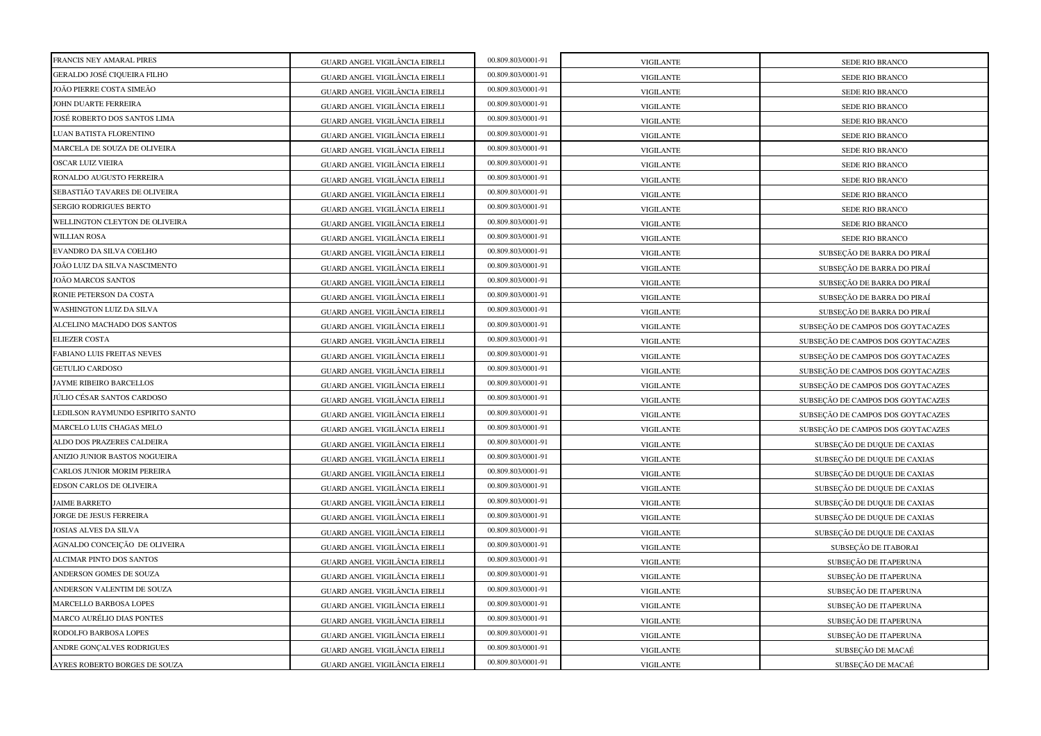| FRANCIS NEY AMARAL PIRES         |                               | 00.809.803/0001-91 |                  |                                   |
|----------------------------------|-------------------------------|--------------------|------------------|-----------------------------------|
| GERALDO JOSÉ CIQUEIRA FILHO      | GUARD ANGEL VIGILÂNCIA EIRELI | 00.809.803/0001-91 | <b>VIGILANTE</b> | SEDE RIO BRANCO                   |
| JOÃO PIERRE COSTA SIMEÃO         | GUARD ANGEL VIGILÂNCIA EIRELI | 00.809.803/0001-91 | <b>VIGILANTE</b> | SEDE RIO BRANCO                   |
| JOHN DUARTE FERREIRA             | GUARD ANGEL VIGILÂNCIA EIRELI | 00.809.803/0001-91 | <b>VIGILANTE</b> | SEDE RIO BRANCO                   |
|                                  | GUARD ANGEL VIGILÂNCIA EIRELI |                    | <b>VIGILANTE</b> | SEDE RIO BRANCO                   |
| JOSÉ ROBERTO DOS SANTOS LIMA     | GUARD ANGEL VIGILÂNCIA EIRELI | 00.809.803/0001-91 | <b>VIGILANTE</b> | SEDE RIO BRANCO                   |
| LUAN BATISTA FLORENTINO          | GUARD ANGEL VIGILÂNCIA EIRELI | 00.809.803/0001-91 | <b>VIGILANTE</b> | SEDE RIO BRANCO                   |
| MARCELA DE SOUZA DE OLIVEIRA     | GUARD ANGEL VIGILÂNCIA EIRELI | 00.809.803/0001-91 | <b>VIGILANTE</b> | SEDE RIO BRANCO                   |
| <b>OSCAR LUIZ VIEIRA</b>         | GUARD ANGEL VIGILÂNCIA EIRELI | 00.809.803/0001-91 | <b>VIGILANTE</b> | SEDE RIO BRANCO                   |
| RONALDO AUGUSTO FERREIRA         | GUARD ANGEL VIGILÂNCIA EIRELI | 00.809.803/0001-91 | <b>VIGILANTE</b> | SEDE RIO BRANCO                   |
| SEBASTIÃO TAVARES DE OLIVEIRA    | GUARD ANGEL VIGILÂNCIA EIRELI | 00.809.803/0001-91 | <b>VIGILANTE</b> | SEDE RIO BRANCO                   |
| SERGIO RODRIGUES BERTO           | GUARD ANGEL VIGILÂNCIA EIRELI | 00.809.803/0001-91 | <b>VIGILANTE</b> | SEDE RIO BRANCO                   |
| WELLINGTON CLEYTON DE OLIVEIRA   | GUARD ANGEL VIGILÂNCIA EIRELI | 00.809.803/0001-91 | <b>VIGILANTE</b> | SEDE RIO BRANCO                   |
| <b>WILLIAN ROSA</b>              | GUARD ANGEL VIGILÂNCIA EIRELI | 00.809.803/0001-91 | <b>VIGILANTE</b> | SEDE RIO BRANCO                   |
| EVANDRO DA SILVA COELHO          | GUARD ANGEL VIGILÂNCIA EIRELI | 00.809.803/0001-91 | <b>VIGILANTE</b> | SUBSEÇÃO DE BARRA DO PIRAÍ        |
| JOÃO LUIZ DA SILVA NASCIMENTO    | GUARD ANGEL VIGILÂNCIA EIRELI | 00.809.803/0001-91 | <b>VIGILANTE</b> | SUBSEÇÃO DE BARRA DO PIRAÍ        |
| JOÃO MARCOS SANTOS               | GUARD ANGEL VIGILÂNCIA EIRELI | 00.809.803/0001-91 | <b>VIGILANTE</b> | SUBSECÃO DE BARRA DO PIRAÍ        |
| RONIE PETERSON DA COSTA          | GUARD ANGEL VIGILÂNCIA EIRELI | 00.809.803/0001-91 | <b>VIGILANTE</b> | SUBSEÇÃO DE BARRA DO PIRAÍ        |
| WASHINGTON LUIZ DA SILVA         | GUARD ANGEL VIGILÂNCIA EIRELI | 00.809.803/0001-91 | <b>VIGILANTE</b> | SUBSEÇÃO DE BARRA DO PIRAÍ        |
| ALCELINO MACHADO DOS SANTOS      | GUARD ANGEL VIGILÂNCIA EIRELI | 00.809.803/0001-91 | <b>VIGILANTE</b> | SUBSEÇÃO DE CAMPOS DOS GOYTACAZES |
| <b>ELIEZER COSTA</b>             | GUARD ANGEL VIGILÂNCIA EIRELI | 00.809.803/0001-91 | <b>VIGILANTE</b> | SUBSEÇÃO DE CAMPOS DOS GOYTACAZES |
| FABIANO LUIS FREITAS NEVES       | GUARD ANGEL VIGILÂNCIA EIRELI | 00.809.803/0001-91 | <b>VIGILANTE</b> | SUBSEÇÃO DE CAMPOS DOS GOYTACAZES |
| <b>GETULIO CARDOSO</b>           | GUARD ANGEL VIGILÂNCIA EIRELI | 00.809.803/0001-91 | <b>VIGILANTE</b> | SUBSECÃO DE CAMPOS DOS GOYTACAZES |
| JAYME RIBEIRO BARCELLOS          | GUARD ANGEL VIGILÂNCIA EIRELI | 00.809.803/0001-91 | <b>VIGILANTE</b> | SUBSEÇÃO DE CAMPOS DOS GOYTACAZES |
| JÚLIO CÉSAR SANTOS CARDOSO       | GUARD ANGEL VIGILÂNCIA EIRELI | 00.809.803/0001-91 | <b>VIGILANTE</b> | SUBSEÇÃO DE CAMPOS DOS GOYTACAZES |
| LEDILSON RAYMUNDO ESPIRITO SANTO | GUARD ANGEL VIGILÂNCIA EIRELI | 00.809.803/0001-91 | <b>VIGILANTE</b> | SUBSEÇÃO DE CAMPOS DOS GOYTACAZES |
| MARCELO LUIS CHAGAS MELO         | GUARD ANGEL VIGILÂNCIA EIRELI | 00.809.803/0001-91 | <b>VIGILANTE</b> | SUBSEÇÃO DE CAMPOS DOS GOYTACAZES |
| ALDO DOS PRAZERES CALDEIRA       | GUARD ANGEL VIGILÂNCIA EIRELI | 00.809.803/0001-91 | <b>VIGILANTE</b> | SUBSEÇÃO DE DUQUE DE CAXIAS       |
| ANIZIO JUNIOR BASTOS NOGUEIRA    | GUARD ANGEL VIGILÂNCIA EIRELI | 00.809.803/0001-91 | <b>VIGILANTE</b> | SUBSEÇÃO DE DUQUE DE CAXIAS       |
| CARLOS JUNIOR MORIM PEREIRA      | GUARD ANGEL VIGILÂNCIA EIRELI | 00.809.803/0001-91 | <b>VIGILANTE</b> | SUBSEÇÃO DE DUQUE DE CAXIAS       |
| EDSON CARLOS DE OLIVEIRA         | GUARD ANGEL VIGILÂNCIA EIRELI | 00.809.803/0001-91 | <b>VIGILANTE</b> | SUBSEÇÃO DE DUQUE DE CAXIAS       |
| <b>JAIME BARRETO</b>             | GUARD ANGEL VIGILÂNCIA EIRELI | 00.809.803/0001-91 | <b>VIGILANTE</b> | SUBSEÇÃO DE DUQUE DE CAXIAS       |
| JORGE DE JESUS FERREIRA          | GUARD ANGEL VIGILÂNCIA EIRELI | 00.809.803/0001-91 | <b>VIGILANTE</b> | SUBSEÇÃO DE DUQUE DE CAXIAS       |
| JOSIAS ALVES DA SILVA            | GUARD ANGEL VIGILÂNCIA EIRELI | 00.809.803/0001-91 | <b>VIGILANTE</b> | SUBSEÇÃO DE DUQUE DE CAXIAS       |
| AGNALDO CONCEIÇÃO DE OLIVEIRA    | GUARD ANGEL VIGILÂNCIA EIRELI | 00.809.803/0001-91 | <b>VIGILANTE</b> | SUBSEÇÃO DE ITABORAI              |
| ALCIMAR PINTO DOS SANTOS         | GUARD ANGEL VIGILÂNCIA EIRELI | 00.809.803/0001-91 | <b>VIGILANTE</b> | SUBSEÇÃO DE ITAPERUNA             |
| ANDERSON GOMES DE SOUZA          | GUARD ANGEL VIGILÂNCIA EIRELI | 00.809.803/0001-91 | <b>VIGILANTE</b> | SUBSEÇÃO DE ITAPERUNA             |
| ANDERSON VALENTIM DE SOUZA       | GUARD ANGEL VIGILÂNCIA EIRELI | 00.809.803/0001-91 | <b>VIGILANTE</b> | SUBSEÇÃO DE ITAPERUNA             |
| <b>MARCELLO BARBOSA LOPES</b>    | GUARD ANGEL VIGILÂNCIA EIRELI | 00.809.803/0001-91 | <b>VIGILANTE</b> | SUBSEÇÃO DE ITAPERUNA             |
| <b>MARCO AURÉLIO DIAS PONTES</b> | GUARD ANGEL VIGILÂNCIA EIRELI | 00.809.803/0001-91 | <b>VIGILANTE</b> | SUBSECÃO DE ITAPERUNA             |
| RODOLFO BARBOSA LOPES            | GUARD ANGEL VIGILÂNCIA EIRELI | 00.809.803/0001-91 | <b>VIGILANTE</b> | SUBSEÇÃO DE ITAPERUNA             |
| ANDRE GONÇALVES RODRIGUES        | GUARD ANGEL VIGILÂNCIA EIRELI | 00.809.803/0001-91 | <b>VIGILANTE</b> | SUBSEÇÃO DE MACAÉ                 |
| AYRES ROBERTO BORGES DE SOUZA    | GUARD ANGEL VIGILÂNCIA EIRELI | 00.809.803/0001-91 | <b>VIGILANTE</b> | SUBSEÇÃO DE MACAÉ                 |
|                                  |                               |                    |                  |                                   |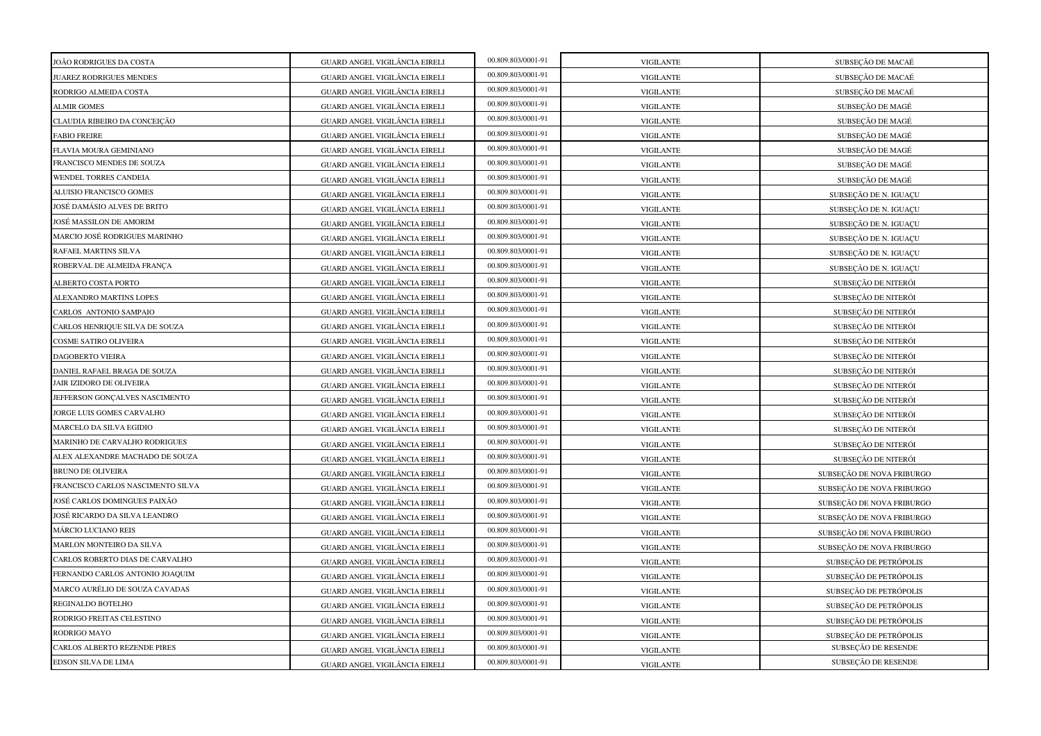| JOÃO RODRIGUES DA COSTA           | GUARD ANGEL VIGILÂNCIA EIRELI | 00.809.803/0001-91 | <b>VIGILANTE</b> | SUBSEÇÃO DE MACAÉ         |
|-----------------------------------|-------------------------------|--------------------|------------------|---------------------------|
| JUAREZ RODRIGUES MENDES           | GUARD ANGEL VIGILÂNCIA EIRELI | 00.809.803/0001-91 | <b>VIGILANTE</b> | SUBSEÇÃO DE MACAÉ         |
| RODRIGO ALMEIDA COSTA             | GUARD ANGEL VIGILÂNCIA EIRELI | 00.809.803/0001-91 | <b>VIGILANTE</b> | SUBSECÃO DE MACAÉ         |
| <b>ALMIR GOMES</b>                | GUARD ANGEL VIGILÂNCIA EIRELI | 00.809.803/0001-91 | <b>VIGILANTE</b> | SUBSEÇÃO DE MAGÉ          |
| CLAUDIA RIBEIRO DA CONCEIÇÃO      | GUARD ANGEL VIGILÂNCIA EIRELI | 00.809.803/0001-91 | <b>VIGILANTE</b> | SUBSEÇÃO DE MAGÉ          |
| <b>FABIO FREIRE</b>               | GUARD ANGEL VIGILÂNCIA EIRELI | 00.809.803/0001-91 | <b>VIGILANTE</b> | SUBSEÇÃO DE MAGÉ          |
| FLAVIA MOURA GEMINIANO            | GUARD ANGEL VIGILÂNCIA EIRELI | 00.809.803/0001-91 | <b>VIGILANTE</b> | SUBSEÇÃO DE MAGÉ          |
| FRANCISCO MENDES DE SOUZA         | GUARD ANGEL VIGILÂNCIA EIRELI | 00.809.803/0001-91 | <b>VIGILANTE</b> | SUBSEÇÃO DE MAGÉ          |
| WENDEL TORRES CANDEIA             | GUARD ANGEL VIGILÂNCIA EIRELI | 00.809.803/0001-91 | <b>VIGILANTE</b> | SUBSEÇÃO DE MAGÉ          |
| ALUISIO FRANCISCO GOMES           | GUARD ANGEL VIGILÂNCIA EIRELI | 00.809.803/0001-91 | <b>VIGILANTE</b> | SUBSEÇÃO DE N. IGUAÇU     |
| JOSÉ DAMÁSIO ALVES DE BRITO       | GUARD ANGEL VIGILÂNCIA EIRELI | 00.809.803/0001-91 | <b>VIGILANTE</b> | SUBSEÇÃO DE N. IGUAÇU     |
| JOSÉ MASSILON DE AMORIM           | GUARD ANGEL VIGILÂNCIA EIRELI | 00.809.803/0001-91 | <b>VIGILANTE</b> | SUBSEÇÃO DE N. IGUAÇU     |
| MARCIO JOSÉ RODRIGUES MARINHO     | GUARD ANGEL VIGILÂNCIA EIRELI | 00.809.803/0001-91 | <b>VIGILANTE</b> | SUBSEÇÃO DE N. IGUAÇU     |
| RAFAEL MARTINS SILVA              | GUARD ANGEL VIGILÂNCIA EIRELI | 00.809.803/0001-91 | <b>VIGILANTE</b> | SUBSEÇÃO DE N. IGUAÇU     |
| ROBERVAL DE ALMEIDA FRANÇA        | GUARD ANGEL VIGILÂNCIA EIRELI | 00.809.803/0001-91 | <b>VIGILANTE</b> | SUBSEÇÃO DE N. IGUAÇU     |
| ALBERTO COSTA PORTO               | GUARD ANGEL VIGILÂNCIA EIRELI | 00.809.803/0001-91 | <b>VIGILANTE</b> | SUBSEÇÃO DE NITERÓI       |
| ALEXANDRO MARTINS LOPES           | GUARD ANGEL VIGILÂNCIA EIRELI | 00.809.803/0001-91 | <b>VIGILANTE</b> | SUBSEÇÃO DE NITERÓI       |
| CARLOS ANTONIO SAMPAIO            | GUARD ANGEL VIGILÂNCIA EIRELI | 00.809.803/0001-91 | <b>VIGILANTE</b> | SUBSEÇÃO DE NITERÓI       |
| CARLOS HENRIQUE SILVA DE SOUZA    | GUARD ANGEL VIGILÂNCIA EIRELI | 00.809.803/0001-91 | <b>VIGILANTE</b> | SUBSEÇÃO DE NITERÓI       |
| COSME SATIRO OLIVEIRA             | GUARD ANGEL VIGILÂNCIA EIRELI | 00.809.803/0001-91 | <b>VIGILANTE</b> | SUBSEÇÃO DE NITERÓI       |
| DAGOBERTO VIEIRA                  | GUARD ANGEL VIGILÂNCIA EIRELI | 00.809.803/0001-91 | <b>VIGILANTE</b> | SUBSEÇÃO DE NITERÓI       |
| DANIEL RAFAEL BRAGA DE SOUZA      | GUARD ANGEL VIGILÂNCIA EIRELI | 00.809.803/0001-91 | <b>VIGILANTE</b> | SUBSEÇÃO DE NITERÓI       |
| JAIR IZIDORO DE OLIVEIRA          | GUARD ANGEL VIGILÂNCIA EIRELI | 00.809.803/0001-91 | <b>VIGILANTE</b> | SUBSECÃO DE NITERÓI       |
| JEFFERSON GONÇALVES NASCIMENTO    | GUARD ANGEL VIGILÂNCIA EIRELI | 00.809.803/0001-91 | <b>VIGILANTE</b> | SUBSEÇÃO DE NITERÓI       |
| JORGE LUIS GOMES CARVALHO         | GUARD ANGEL VIGILÂNCIA EIRELI | 00.809.803/0001-91 | <b>VIGILANTE</b> | SUBSEÇÃO DE NITERÓI       |
| MARCELO DA SILVA EGIDIO           | GUARD ANGEL VIGILÂNCIA EIRELI | 00.809.803/0001-91 | <b>VIGILANTE</b> | SUBSEÇÃO DE NITERÓI       |
| MARINHO DE CARVALHO RODRIGUES     | GUARD ANGEL VIGILÂNCIA EIRELI | 00.809.803/0001-91 | <b>VIGILANTE</b> | SUBSECÃO DE NITERÓI       |
| ALEX ALEXANDRE MACHADO DE SOUZA   | GUARD ANGEL VIGILÂNCIA EIRELI | 00.809.803/0001-91 | <b>VIGILANTE</b> | SUBSEÇÃO DE NITERÓI       |
| <b>BRUNO DE OLIVEIRA</b>          | GUARD ANGEL VIGILÂNCIA EIRELI | 00.809.803/0001-91 | <b>VIGILANTE</b> | SUBSEÇÃO DE NOVA FRIBURGO |
| FRANCISCO CARLOS NASCIMENTO SILVA | GUARD ANGEL VIGILÂNCIA EIRELI | 00.809.803/0001-91 | <b>VIGILANTE</b> | SUBSEÇÃO DE NOVA FRIBURGO |
| JOSÉ CARLOS DOMINGUES PAIXÃO      | GUARD ANGEL VIGILÂNCIA EIRELI | 00.809.803/0001-91 | <b>VIGILANTE</b> | SUBSEÇÃO DE NOVA FRIBURGO |
| JOSÉ RICARDO DA SILVA LEANDRO     | GUARD ANGEL VIGILÂNCIA EIRELI | 00.809.803/0001-91 | <b>VIGILANTE</b> | SUBSEÇÃO DE NOVA FRIBURGO |
| <b>MÁRCIO LUCIANO REIS</b>        | GUARD ANGEL VIGILÂNCIA EIRELI | 00.809.803/0001-91 | <b>VIGILANTE</b> | SUBSEÇÃO DE NOVA FRIBURGO |
| MARLON MONTEIRO DA SILVA          | GUARD ANGEL VIGILÂNCIA EIRELI | 00.809.803/0001-91 | <b>VIGILANTE</b> | SUBSEÇÃO DE NOVA FRIBURGO |
| CARLOS ROBERTO DIAS DE CARVALHO   | GUARD ANGEL VIGILÂNCIA EIRELI | 00.809.803/0001-91 | <b>VIGILANTE</b> | SUBSEÇÃO DE PETRÓPOLIS    |
| FERNANDO CARLOS ANTONIO JOAQUIM   | GUARD ANGEL VIGILÂNCIA EIRELI | 00.809.803/0001-91 | <b>VIGILANTE</b> | SUBSEÇÃO DE PETRÓPOLIS    |
| MARCO AURÉLIO DE SOUZA CAVADAS    | GUARD ANGEL VIGILÂNCIA EIRELI | 00.809.803/0001-91 | <b>VIGILANTE</b> | SUBSEÇÃO DE PETRÓPOLIS    |
| REGINALDO BOTELHO                 | GUARD ANGEL VIGILÂNCIA EIRELI | 00.809.803/0001-91 | <b>VIGILANTE</b> | SUBSEÇÃO DE PETRÓPOLIS    |
| RODRIGO FREITAS CELESTINO         | GUARD ANGEL VIGILÂNCIA EIRELI | 00.809.803/0001-91 | <b>VIGILANTE</b> | SUBSEÇÃO DE PETRÓPOLIS    |
| RODRIGO MAYO                      | GUARD ANGEL VIGILÂNCIA EIRELI | 00.809.803/0001-91 | <b>VIGILANTE</b> | SUBSEÇÃO DE PETRÓPOLIS    |
| CARLOS ALBERTO REZENDE PIRES      | GUARD ANGEL VIGILÂNCIA EIRELI | 00.809.803/0001-91 | <b>VIGILANTE</b> | SUBSEÇÃO DE RESENDE       |
| EDSON SILVA DE LIMA               | GUARD ANGEL VIGILÂNCIA EIRELI | 00.809.803/0001-91 | <b>VIGILANTE</b> | SUBSEÇÃO DE RESENDE       |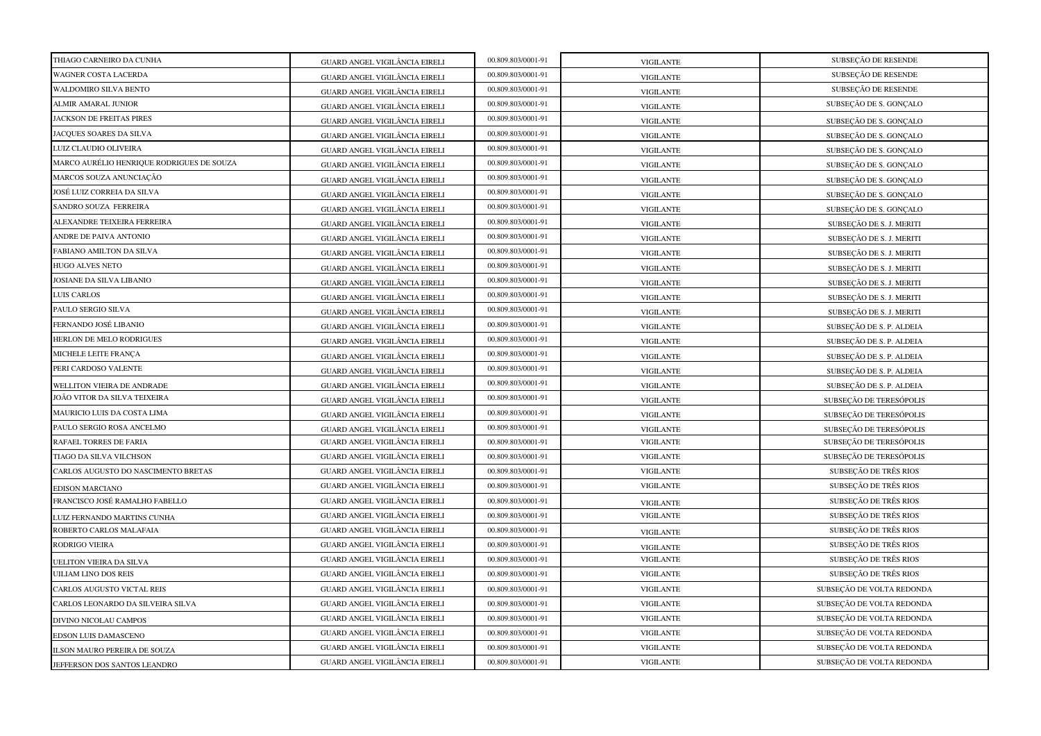| THIAGO CARNEIRO DA CUNHA                  | GUARD ANGEL VIGILÂNCIA EIRELI        | 00.809.803/0001-91 | <b>VIGILANTE</b> | SUBSEÇÃO DE RESENDE       |
|-------------------------------------------|--------------------------------------|--------------------|------------------|---------------------------|
| WAGNER COSTA LACERDA                      | GUARD ANGEL VIGILÂNCIA EIRELI        | 00.809.803/0001-91 | <b>VIGILANTE</b> | SUBSEÇÃO DE RESENDE       |
| WALDOMIRO SILVA BENTO                     | GUARD ANGEL VIGILÂNCIA EIRELI        | 00.809.803/0001-91 | <b>VIGILANTE</b> | SUBSEÇÃO DE RESENDE       |
| <b>ALMIR AMARAL JUNIOR</b>                | GUARD ANGEL VIGILÂNCIA EIRELI        | 00.809.803/0001-91 | <b>VIGILANTE</b> | SUBSEÇÃO DE S. GONÇALO    |
| JACKSON DE FREITAS PIRES                  | GUARD ANGEL VIGILÂNCIA EIRELI        | 00.809.803/0001-91 | <b>VIGILANTE</b> | SUBSEÇÃO DE S. GONÇALO    |
| JACQUES SOARES DA SILVA                   | GUARD ANGEL VIGILÂNCIA EIRELI        | 00.809.803/0001-91 | <b>VIGILANTE</b> | SUBSEÇÃO DE S. GONÇALO    |
| LUIZ CLAUDIO OLIVEIRA                     | GUARD ANGEL VIGILÂNCIA EIRELI        | 00.809.803/0001-91 | <b>VIGILANTE</b> | SUBSEÇÃO DE S. GONÇALO    |
| MARCO AURÉLIO HENRIQUE RODRIGUES DE SOUZA | GUARD ANGEL VIGILÂNCIA EIRELI        | 00.809.803/0001-91 | <b>VIGILANTE</b> | SUBSEÇÃO DE S. GONÇALO    |
| MARCOS SOUZA ANUNCIAÇÃO                   | GUARD ANGEL VIGILÂNCIA EIRELI        | 00.809.803/0001-91 | <b>VIGILANTE</b> | SUBSEÇÃO DE S. GONÇALO    |
| JOSÉ LUIZ CORREIA DA SILVA                | GUARD ANGEL VIGILÂNCIA EIRELI        | 00.809.803/0001-91 | <b>VIGILANTE</b> | SUBSEÇÃO DE S. GONÇALO    |
| SANDRO SOUZA FERREIRA                     | GUARD ANGEL VIGILÂNCIA EIRELI        | 00.809.803/0001-91 | <b>VIGILANTE</b> | SUBSEÇÃO DE S. GONÇALO    |
| ALEXANDRE TEIXEIRA FERREIRA               | GUARD ANGEL VIGILÂNCIA EIRELI        | 00.809.803/0001-91 | <b>VIGILANTE</b> | SUBSEÇÃO DE S. J. MERITI  |
| ANDRE DE PAIVA ANTONIO                    | GUARD ANGEL VIGILÂNCIA EIRELI        | 00.809.803/0001-91 | <b>VIGILANTE</b> | SUBSEÇÃO DE S. J. MERITI  |
| FABIANO AMILTON DA SILVA                  | GUARD ANGEL VIGILÂNCIA EIRELI        | 00.809.803/0001-91 | <b>VIGILANTE</b> | SUBSEÇÃO DE S. J. MERITI  |
| <b>HUGO ALVES NETO</b>                    | GUARD ANGEL VIGILÂNCIA EIRELI        | 00.809.803/0001-91 | <b>VIGILANTE</b> | SUBSEÇÃO DE S. J. MERITI  |
| JOSIANE DA SILVA LIBANIO                  | GUARD ANGEL VIGILÂNCIA EIRELI        | 00.809.803/0001-91 | <b>VIGILANTE</b> | SUBSEÇÃO DE S. J. MERITI  |
| LUIS CARLOS                               | GUARD ANGEL VIGILÂNCIA EIRELI        | 00.809.803/0001-91 | <b>VIGILANTE</b> | SUBSEÇÃO DE S. J. MERITI  |
| PAULO SERGIO SILVA                        | GUARD ANGEL VIGILÂNCIA EIRELI        | 00.809.803/0001-91 | <b>VIGILANTE</b> | SUBSEÇÃO DE S. J. MERITI  |
| FERNANDO JOSÉ LIBANIO                     | GUARD ANGEL VIGILÂNCIA EIRELI        | 00.809.803/0001-91 | <b>VIGILANTE</b> | SUBSEÇÃO DE S. P. ALDEIA  |
| HERLON DE MELO RODRIGUES                  | GUARD ANGEL VIGILÂNCIA EIRELI        | 00.809.803/0001-91 | <b>VIGILANTE</b> | SUBSEÇÃO DE S. P. ALDEIA  |
| MICHELE LEITE FRANÇA                      | GUARD ANGEL VIGILÂNCIA EIRELI        | 00.809.803/0001-91 | <b>VIGILANTE</b> | SUBSEÇÃO DE S. P. ALDEIA  |
| PERI CARDOSO VALENTE                      | GUARD ANGEL VIGILÂNCIA EIRELI        | 00.809.803/0001-91 | <b>VIGILANTE</b> | SUBSEÇÃO DE S. P. ALDEIA  |
| WELLITON VIEIRA DE ANDRADE                | GUARD ANGEL VIGILÂNCIA EIRELI        | 00.809.803/0001-91 | <b>VIGILANTE</b> | SUBSEÇÃO DE S. P. ALDEIA  |
| JOÃO VITOR DA SILVA TEIXEIRA              | GUARD ANGEL VIGILÂNCIA EIRELI        | 00.809.803/0001-91 | <b>VIGILANTE</b> | SUBSEÇÃO DE TERESÓPOLIS   |
| MAURICIO LUIS DA COSTA LIMA               | GUARD ANGEL VIGILÂNCIA EIRELI        | 00.809.803/0001-91 | <b>VIGILANTE</b> | SUBSEÇÃO DE TERESÓPOLIS   |
| PAULO SERGIO ROSA ANCELMO                 | GUARD ANGEL VIGILÂNCIA EIRELI        | 00.809.803/0001-91 | <b>VIGILANTE</b> | SUBSECÃO DE TERESÓPOLIS   |
| RAFAEL TORRES DE FARIA                    | GUARD ANGEL VIGILÂNCIA EIRELI        | 00.809.803/0001-91 | <b>VIGILANTE</b> | SUBSEÇÃO DE TERESÓPOLIS   |
| TIAGO DA SILVA VILCHSON                   | GUARD ANGEL VIGILÂNCIA EIRELI        | 00.809.803/0001-91 | <b>VIGILANTE</b> | SUBSEÇÃO DE TERESÓPOLIS   |
| CARLOS AUGUSTO DO NASCIMENTO BRETAS       | GUARD ANGEL VIGILÂNCIA EIRELI        | 00.809.803/0001-91 | <b>VIGILANTE</b> | SUBSEÇÃO DE TRÊS RIOS     |
| <b>EDISON MARCIANO</b>                    | GUARD ANGEL VIGILÂNCIA EIRELI        | 00.809.803/0001-91 | <b>VIGILANTE</b> | SUBSEÇÃO DE TRÊS RIOS     |
| FRANCISCO JOSÉ RAMALHO FABELLO            | <b>GUARD ANGEL VIGILÂNCIA EIRELI</b> | 00.809.803/0001-91 | <b>VIGILANTE</b> | SUBSECÃO DE TRÊS RIOS     |
| LUIZ FERNANDO MARTINS CUNHA               | GUARD ANGEL VIGILÂNCIA EIRELI        | 00.809.803/0001-91 | <b>VIGILANTE</b> | SUBSEÇÃO DE TRÊS RIOS     |
| ROBERTO CARLOS MALAFAIA                   | GUARD ANGEL VIGILÂNCIA EIRELI        | 00.809.803/0001-91 | <b>VIGILANTE</b> | SUBSEÇÃO DE TRÊS RIOS     |
| RODRIGO VIEIRA                            | GUARD ANGEL VIGILÂNCIA EIRELI        | 00.809.803/0001-91 | <b>VIGILANTE</b> | SUBSEÇÃO DE TRÊS RIOS     |
| JELITON VIEIRA DA SILVA                   | GUARD ANGEL VIGILÂNCIA EIRELI        | 00.809.803/0001-91 | <b>VIGILANTE</b> | SUBSEÇÃO DE TRÊS RIOS     |
| UILIAM LINO DOS REIS                      | GUARD ANGEL VIGILÂNCIA EIRELI        | 00.809.803/0001-91 | <b>VIGILANTE</b> | SUBSEÇÃO DE TRÊS RIOS     |
| CARLOS AUGUSTO VICTAL REIS                | GUARD ANGEL VIGILÂNCIA EIRELI        | 00.809.803/0001-91 | <b>VIGILANTE</b> | SUBSEÇÃO DE VOLTA REDONDA |
| CARLOS LEONARDO DA SILVEIRA SILVA         | GUARD ANGEL VIGILÂNCIA EIRELI        | 00.809.803/0001-91 | <b>VIGILANTE</b> | SUBSEÇÃO DE VOLTA REDONDA |
| DIVINO NICOLAU CAMPOS                     | GUARD ANGEL VIGILÂNCIA EIRELI        | 00.809.803/0001-91 | <b>VIGILANTE</b> | SUBSEÇÃO DE VOLTA REDONDA |
| EDSON LUIS DAMASCENO                      | GUARD ANGEL VIGILÂNCIA EIRELI        | 00.809.803/0001-91 | <b>VIGILANTE</b> | SUBSEÇÃO DE VOLTA REDONDA |
| ILSON MAURO PEREIRA DE SOUZA              | GUARD ANGEL VIGILÂNCIA EIRELI        | 00.809.803/0001-91 | <b>VIGILANTE</b> | SUBSEÇÃO DE VOLTA REDONDA |
| JEFFERSON DOS SANTOS LEANDRO              | GUARD ANGEL VIGILÂNCIA EIRELI        | 00.809.803/0001-91 | <b>VIGILANTE</b> | SUBSEÇÃO DE VOLTA REDONDA |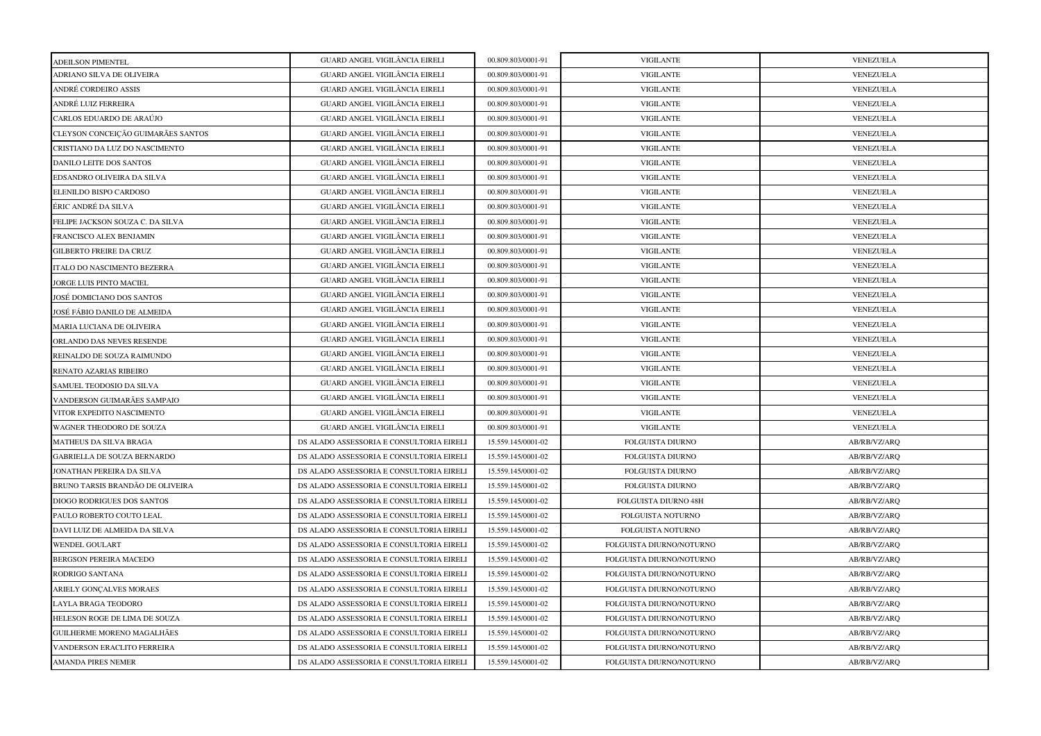| <b>ADEILSON PIMENTEL</b>           | GUARD ANGEL VIGILÂNCIA EIRELI            | 00.809.803/0001-91 | <b>VIGILANTE</b>            | VENEZUELA        |
|------------------------------------|------------------------------------------|--------------------|-----------------------------|------------------|
| ADRIANO SILVA DE OLIVEIRA          | GUARD ANGEL VIGILÂNCIA EIRELI            | 00.809.803/0001-91 | <b>VIGILANTE</b>            | <b>VENEZUELA</b> |
| ANDRÉ CORDEIRO ASSIS               | GUARD ANGEL VIGILÂNCIA EIRELI            | 00.809.803/0001-91 | <b>VIGILANTE</b>            | VENEZUELA        |
| ANDRÉ LUIZ FERREIRA                | GUARD ANGEL VIGILÂNCIA EIRELI            | 00.809.803/0001-91 | <b>VIGILANTE</b>            | VENEZUELA        |
| CARLOS EDUARDO DE ARAÚJO           | GUARD ANGEL VIGILÂNCIA EIRELI            | 00.809.803/0001-91 | <b>VIGILANTE</b>            | VENEZUELA        |
| CLEYSON CONCEIÇÃO GUIMARÃES SANTOS | GUARD ANGEL VIGILÂNCIA EIRELI            | 00.809.803/0001-91 | <b>VIGILANTE</b>            | VENEZUELA        |
| CRISTIANO DA LUZ DO NASCIMENTO     | GUARD ANGEL VIGILÂNCIA EIRELI            | 00.809.803/0001-91 | <b>VIGILANTE</b>            | VENEZUELA        |
| DANILO LEITE DOS SANTOS            | GUARD ANGEL VIGILÂNCIA EIRELI            | 00.809.803/0001-91 | <b>VIGILANTE</b>            | VENEZUELA        |
| EDSANDRO OLIVEIRA DA SILVA         | GUARD ANGEL VIGILÂNCIA EIRELI            | 00.809.803/0001-91 | <b>VIGILANTE</b>            | VENEZUELA        |
| ELENILDO BISPO CARDOSO             | GUARD ANGEL VIGILÂNCIA EIRELI            | 00.809.803/0001-91 | <b>VIGILANTE</b>            | VENEZUELA        |
| ÉRIC ANDRÉ DA SILVA                | GUARD ANGEL VIGILÂNCIA EIRELI            | 00.809.803/0001-91 | <b>VIGILANTE</b>            | VENEZUELA        |
| FELIPE JACKSON SOUZA C. DA SILVA   | GUARD ANGEL VIGILÂNCIA EIRELI            | 00.809.803/0001-91 | <b>VIGILANTE</b>            | VENEZUELA        |
| FRANCISCO ALEX BENJAMIN            | GUARD ANGEL VIGILÂNCIA EIRELI            | 00.809.803/0001-91 | <b>VIGILANTE</b>            | VENEZUELA        |
| <b>GILBERTO FREIRE DA CRUZ</b>     | GUARD ANGEL VIGILÂNCIA EIRELI            | 00.809.803/0001-91 | <b>VIGILANTE</b>            | VENEZUELA        |
| ITALO DO NASCIMENTO BEZERRA        | GUARD ANGEL VIGILÂNCIA EIRELI            | 00.809.803/0001-91 | <b>VIGILANTE</b>            | VENEZUELA        |
| JORGE LUIS PINTO MACIEL            | GUARD ANGEL VIGILÂNCIA EIRELI            | 00.809.803/0001-91 | <b>VIGILANTE</b>            | VENEZUELA        |
| JOSÉ DOMICIANO DOS SANTOS          | GUARD ANGEL VIGILÂNCIA EIRELI            | 00.809.803/0001-91 | <b>VIGILANTE</b>            | VENEZUELA        |
| JOSÉ FÁBIO DANILO DE ALMEIDA       | GUARD ANGEL VIGILÂNCIA EIRELI            | 00.809.803/0001-91 | <b>VIGILANTE</b>            | VENEZUELA        |
| MARIA LUCIANA DE OLIVEIRA          | GUARD ANGEL VIGILÂNCIA EIRELI            | 00.809.803/0001-91 | <b>VIGILANTE</b>            | VENEZUELA        |
| ORLANDO DAS NEVES RESENDE          | GUARD ANGEL VIGILÂNCIA EIRELI            | 00.809.803/0001-91 | <b>VIGILANTE</b>            | VENEZUELA        |
| REINALDO DE SOUZA RAIMUNDO         | GUARD ANGEL VIGILÂNCIA EIRELI            | 00.809.803/0001-91 | <b>VIGILANTE</b>            | VENEZUELA        |
| RENATO AZARIAS RIBEIRO             | GUARD ANGEL VIGILÂNCIA EIRELI            | 00.809.803/0001-91 | <b>VIGILANTE</b>            | VENEZUELA        |
| SAMUEL TEODOSIO DA SILVA           | GUARD ANGEL VIGILÂNCIA EIRELI            | 00.809.803/0001-91 | <b>VIGILANTE</b>            | VENEZUELA        |
| VANDERSON GUIMARÃES SAMPAIO        | GUARD ANGEL VIGILÂNCIA EIRELI            | 00.809.803/0001-91 | <b>VIGILANTE</b>            | VENEZUELA        |
| VITOR EXPEDITO NASCIMENTO          | GUARD ANGEL VIGILÂNCIA EIRELI            | 00.809.803/0001-91 | <b>VIGILANTE</b>            | VENEZUELA        |
| WAGNER THEODORO DE SOUZA           | GUARD ANGEL VIGILÂNCIA EIRELI            | 00.809.803/0001-91 | <b>VIGILANTE</b>            | VENEZUELA        |
| <b>MATHEUS DA SILVA BRAGA</b>      | DS ALADO ASSESSORIA E CONSULTORIA EIRELI | 15.559.145/0001-02 | <b>FOLGUISTA DIURNO</b>     | AB/RB/VZ/ARQ     |
| <b>GABRIELLA DE SOUZA BERNARDO</b> | DS ALADO ASSESSORIA E CONSULTORIA EIRELI | 15.559.145/0001-02 | FOLGUISTA DIURNO            | AB/RB/VZ/ARQ     |
| JONATHAN PEREIRA DA SILVA          | DS ALADO ASSESSORIA E CONSULTORIA EIRELI | 15.559.145/0001-02 | FOLGUISTA DIURNO            | AB/RB/VZ/ARQ     |
| BRUNO TARSIS BRANDÃO DE OLIVEIRA   | DS ALADO ASSESSORIA E CONSULTORIA EIRELI | 15.559.145/0001-02 | FOLGUISTA DIURNO            | AB/RB/VZ/ARQ     |
| <b>DIOGO RODRIGUES DOS SANTOS</b>  | DS ALADO ASSESSORIA E CONSULTORIA EIRELI | 15.559.145/0001-02 | <b>FOLGUISTA DIURNO 48H</b> | AB/RB/VZ/ARQ     |
| PAULO ROBERTO COUTO LEAL           | DS ALADO ASSESSORIA E CONSULTORIA EIRELI | 15.559.145/0001-02 | FOLGUISTA NOTURNO           | AB/RB/VZ/ARQ     |
| DAVI LUIZ DE ALMEIDA DA SILVA      | DS ALADO ASSESSORIA E CONSULTORIA EIRELI | 15.559.145/0001-02 | FOLGUISTA NOTURNO           | AB/RB/VZ/ARQ     |
| <b>WENDEL GOULART</b>              | DS ALADO ASSESSORIA E CONSULTORIA EIRELI | 15.559.145/0001-02 | FOLGUISTA DIURNO/NOTURNO    | AB/RB/VZ/ARQ     |
| BERGSON PEREIRA MACEDO             | DS ALADO ASSESSORIA E CONSULTORIA EIRELI | 15.559.145/0001-02 | FOLGUISTA DIURNO/NOTURNO    | AB/RB/VZ/ARQ     |
| RODRIGO SANTANA                    | DS ALADO ASSESSORIA E CONSULTORIA EIRELI | 15.559.145/0001-02 | FOLGUISTA DIURNO/NOTURNO    | AB/RB/VZ/ARQ     |
| ARIELY GONÇALVES MORAES            | DS ALADO ASSESSORIA E CONSULTORIA EIRELI | 15.559.145/0001-02 | FOLGUISTA DIURNO/NOTURNO    | AB/RB/VZ/ARQ     |
| LAYLA BRAGA TEODORO                | DS ALADO ASSESSORIA E CONSULTORIA EIRELI | 15.559.145/0001-02 | FOLGUISTA DIURNO/NOTURNO    | AB/RB/VZ/ARQ     |
| HELESON ROGE DE LIMA DE SOUZA      | DS ALADO ASSESSORIA E CONSULTORIA EIRELI | 15.559.145/0001-02 | FOLGUISTA DIURNO/NOTURNO    | AB/RB/VZ/ARQ     |
| GUILHERME MORENO MAGALHÃES         | DS ALADO ASSESSORIA E CONSULTORIA EIRELI | 15.559.145/0001-02 | FOLGUISTA DIURNO/NOTURNO    | AB/RB/VZ/ARQ     |
| VANDERSON ERACLITO FERREIRA        | DS ALADO ASSESSORIA E CONSULTORIA EIRELI | 15.559.145/0001-02 | FOLGUISTA DIURNO/NOTURNO    | AB/RB/VZ/ARQ     |
| <b>AMANDA PIRES NEMER</b>          | DS ALADO ASSESSORIA E CONSULTORIA EIRELI | 15.559.145/0001-02 | FOLGUISTA DIURNO/NOTURNO    | AB/RB/VZ/ARQ     |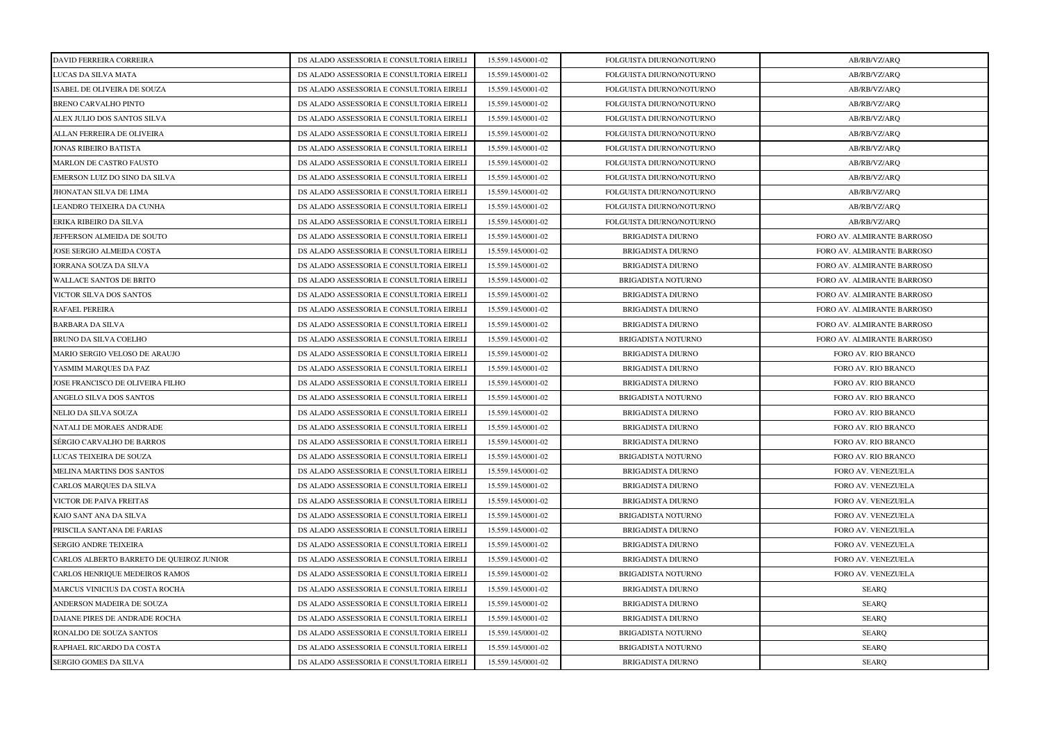| DAVID FERREIRA CORREIRA                  | DS ALADO ASSESSORIA E CONSULTORIA EIRELI | 15.559.145/0001-02 | FOLGUISTA DIURNO/NOTURNO  | AB/RB/VZ/ARQ               |
|------------------------------------------|------------------------------------------|--------------------|---------------------------|----------------------------|
| LUCAS DA SILVA MATA                      | DS ALADO ASSESSORIA E CONSULTORIA EIRELI | 15.559.145/0001-02 | FOLGUISTA DIURNO/NOTURNO  | AB/RB/VZ/ARQ               |
| ISABEL DE OLIVEIRA DE SOUZA              | DS ALADO ASSESSORIA E CONSULTORIA EIRELI | 15.559.145/0001-02 | FOLGUISTA DIURNO/NOTURNO  | AB/RB/VZ/ARQ               |
| <b>BRENO CARVALHO PINTO</b>              | DS ALADO ASSESSORIA E CONSULTORIA EIRELI | 15.559.145/0001-02 | FOLGUISTA DIURNO/NOTURNO  | AB/RB/VZ/ARQ               |
| ALEX JULIO DOS SANTOS SILVA              | DS ALADO ASSESSORIA E CONSULTORIA EIRELI | 15.559.145/0001-02 | FOLGUISTA DIURNO/NOTURNO  | AB/RB/VZ/ARQ               |
| ALLAN FERREIRA DE OLIVEIRA               | DS ALADO ASSESSORIA E CONSULTORIA EIRELI | 15.559.145/0001-02 | FOLGUISTA DIURNO/NOTURNO  | AB/RB/VZ/ARQ               |
| <b>JONAS RIBEIRO BATISTA</b>             | DS ALADO ASSESSORIA E CONSULTORIA EIRELI | 15.559.145/0001-02 | FOLGUISTA DIURNO/NOTURNO  | AB/RB/VZ/ARQ               |
| MARLON DE CASTRO FAUSTO                  | DS ALADO ASSESSORIA E CONSULTORIA EIRELI | 15.559.145/0001-02 | FOLGUISTA DIURNO/NOTURNO  | AB/RB/VZ/ARQ               |
| EMERSON LUIZ DO SINO DA SILVA            | DS ALADO ASSESSORIA E CONSULTORIA EIRELI | 15.559.145/0001-02 | FOLGUISTA DIURNO/NOTURNO  | AB/RB/VZ/ARQ               |
| JHONATAN SILVA DE LIMA                   | DS ALADO ASSESSORIA E CONSULTORIA EIRELI | 15.559.145/0001-02 | FOLGUISTA DIURNO/NOTURNO  | AB/RB/VZ/ARQ               |
| LEANDRO TEIXEIRA DA CUNHA                | DS ALADO ASSESSORIA E CONSULTORIA EIRELI | 15.559.145/0001-02 | FOLGUISTA DIURNO/NOTURNO  | AB/RB/VZ/ARQ               |
| ERIKA RIBEIRO DA SILVA                   | DS ALADO ASSESSORIA E CONSULTORIA EIRELI | 15.559.145/0001-02 | FOLGUISTA DIURNO/NOTURNO  | AB/RB/VZ/ARQ               |
| JEFFERSON ALMEIDA DE SOUTO               | DS ALADO ASSESSORIA E CONSULTORIA EIRELI | 15.559.145/0001-02 | <b>BRIGADISTA DIURNO</b>  | FORO AV. ALMIRANTE BARROSO |
| <b>JOSE SERGIO ALMEIDA COSTA</b>         | DS ALADO ASSESSORIA E CONSULTORIA EIRELI | 15.559.145/0001-02 | <b>BRIGADISTA DIURNO</b>  | FORO AV. ALMIRANTE BARROSO |
| <b>IORRANA SOUZA DA SILVA</b>            | DS ALADO ASSESSORIA E CONSULTORIA EIRELI | 15.559.145/0001-02 | BRIGADISTA DIURNO         | FORO AV. ALMIRANTE BARROSO |
| <b>WALLACE SANTOS DE BRITO</b>           | DS ALADO ASSESSORIA E CONSULTORIA EIRELI | 15.559.145/0001-02 | <b>BRIGADISTA NOTURNO</b> | FORO AV. ALMIRANTE BARROSO |
| VICTOR SILVA DOS SANTOS                  | DS ALADO ASSESSORIA E CONSULTORIA EIRELI | 15.559.145/0001-02 | BRIGADISTA DIURNO         | FORO AV. ALMIRANTE BARROSO |
| RAFAEL PEREIRA                           | DS ALADO ASSESSORIA E CONSULTORIA EIRELI | 15.559.145/0001-02 | <b>BRIGADISTA DIURNO</b>  | FORO AV. ALMIRANTE BARROSO |
| <b>BARBARA DA SILVA</b>                  | DS ALADO ASSESSORIA E CONSULTORIA EIRELI | 15.559.145/0001-02 | BRIGADISTA DIURNO         | FORO AV. ALMIRANTE BARROSO |
| BRUNO DA SILVA COELHO                    | DS ALADO ASSESSORIA E CONSULTORIA EIRELI | 15.559.145/0001-02 | BRIGADISTA NOTURNO        | FORO AV. ALMIRANTE BARROSO |
| MARIO SERGIO VELOSO DE ARAUJO            | DS ALADO ASSESSORIA E CONSULTORIA EIRELI | 15.559.145/0001-02 | BRIGADISTA DIURNO         | FORO AV. RIO BRANCO        |
| YASMIM MARQUES DA PAZ                    | DS ALADO ASSESSORIA E CONSULTORIA EIRELI | 15.559.145/0001-02 | <b>BRIGADISTA DIURNO</b>  | FORO AV. RIO BRANCO        |
| JOSE FRANCISCO DE OLIVEIRA FILHO         | DS ALADO ASSESSORIA E CONSULTORIA EIRELI | 15.559.145/0001-02 | <b>BRIGADISTA DIURNO</b>  | FORO AV. RIO BRANCO        |
| ANGELO SILVA DOS SANTOS                  | DS ALADO ASSESSORIA E CONSULTORIA EIRELI | 15.559.145/0001-02 | BRIGADISTA NOTURNO        | FORO AV. RIO BRANCO        |
| NELIO DA SILVA SOUZA                     | DS ALADO ASSESSORIA E CONSULTORIA EIRELI | 15.559.145/0001-02 | BRIGADISTA DIURNO         | FORO AV. RIO BRANCO        |
| NATALI DE MORAES ANDRADE                 | DS ALADO ASSESSORIA E CONSULTORIA EIRELI | 15.559.145/0001-02 | BRIGADISTA DIURNO         | FORO AV. RIO BRANCO        |
| SÉRGIO CARVALHO DE BARROS                | DS ALADO ASSESSORIA E CONSULTORIA EIRELI | 15.559.145/0001-02 | <b>BRIGADISTA DIURNO</b>  | FORO AV. RIO BRANCO        |
| LUCAS TEIXEIRA DE SOUZA                  | DS ALADO ASSESSORIA E CONSULTORIA EIRELI | 15.559.145/0001-02 | BRIGADISTA NOTURNO        | FORO AV. RIO BRANCO        |
| MELINA MARTINS DOS SANTOS                | DS ALADO ASSESSORIA E CONSULTORIA EIRELI | 15.559.145/0001-02 | BRIGADISTA DIURNO         | FORO AV. VENEZUELA         |
| CARLOS MARQUES DA SILVA                  | DS ALADO ASSESSORIA E CONSULTORIA EIRELI | 15.559.145/0001-02 | <b>BRIGADISTA DIURNO</b>  | FORO AV. VENEZUELA         |
| VICTOR DE PAIVA FREITAS                  | DS ALADO ASSESSORIA E CONSULTORIA EIRELI | 15.559.145/0001-02 | BRIGADISTA DIURNO         | FORO AV. VENEZUELA         |
| KAIO SANT ANA DA SILVA                   | DS ALADO ASSESSORIA E CONSULTORIA EIRELI | 15.559.145/0001-02 | BRIGADISTA NOTURNO        | FORO AV. VENEZUELA         |
| PRISCILA SANTANA DE FARIAS               | DS ALADO ASSESSORIA E CONSULTORIA EIRELI | 15.559.145/0001-02 | <b>BRIGADISTA DIURNO</b>  | FORO AV. VENEZUELA         |
| <b>SERGIO ANDRE TEIXEIRA</b>             | DS ALADO ASSESSORIA E CONSULTORIA EIRELI | 15.559.145/0001-02 | <b>BRIGADISTA DIURNO</b>  | FORO AV. VENEZUELA         |
| CARLOS ALBERTO BARRETO DE QUEIROZ JUNIOR | DS ALADO ASSESSORIA E CONSULTORIA EIRELI | 15.559.145/0001-02 | BRIGADISTA DIURNO         | FORO AV. VENEZUELA         |
| CARLOS HENRIQUE MEDEIROS RAMOS           | DS ALADO ASSESSORIA E CONSULTORIA EIRELI | 15.559.145/0001-02 | <b>BRIGADISTA NOTURNO</b> | FORO AV. VENEZUELA         |
| MARCUS VINICIUS DA COSTA ROCHA           | DS ALADO ASSESSORIA E CONSULTORIA EIRELI | 15.559.145/0001-02 | BRIGADISTA DIURNO         | <b>SEARQ</b>               |
| ANDERSON MADEIRA DE SOUZA                | DS ALADO ASSESSORIA E CONSULTORIA EIRELI | 15.559.145/0001-02 | <b>BRIGADISTA DIURNO</b>  | <b>SEARQ</b>               |
| DAIANE PIRES DE ANDRADE ROCHA            | DS ALADO ASSESSORIA E CONSULTORIA EIRELI | 15.559.145/0001-02 | BRIGADISTA DIURNO         | <b>SEARQ</b>               |
| RONALDO DE SOUZA SANTOS                  | DS ALADO ASSESSORIA E CONSULTORIA EIRELI | 15.559.145/0001-02 | BRIGADISTA NOTURNO        | <b>SEARQ</b>               |
| RAPHAEL RICARDO DA COSTA                 | DS ALADO ASSESSORIA E CONSULTORIA EIRELI | 15.559.145/0001-02 | <b>BRIGADISTA NOTURNO</b> | <b>SEARQ</b>               |
| <b>SERGIO GOMES DA SILVA</b>             | DS ALADO ASSESSORIA E CONSULTORIA EIRELI | 15.559.145/0001-02 | <b>BRIGADISTA DIURNO</b>  | <b>SEARO</b>               |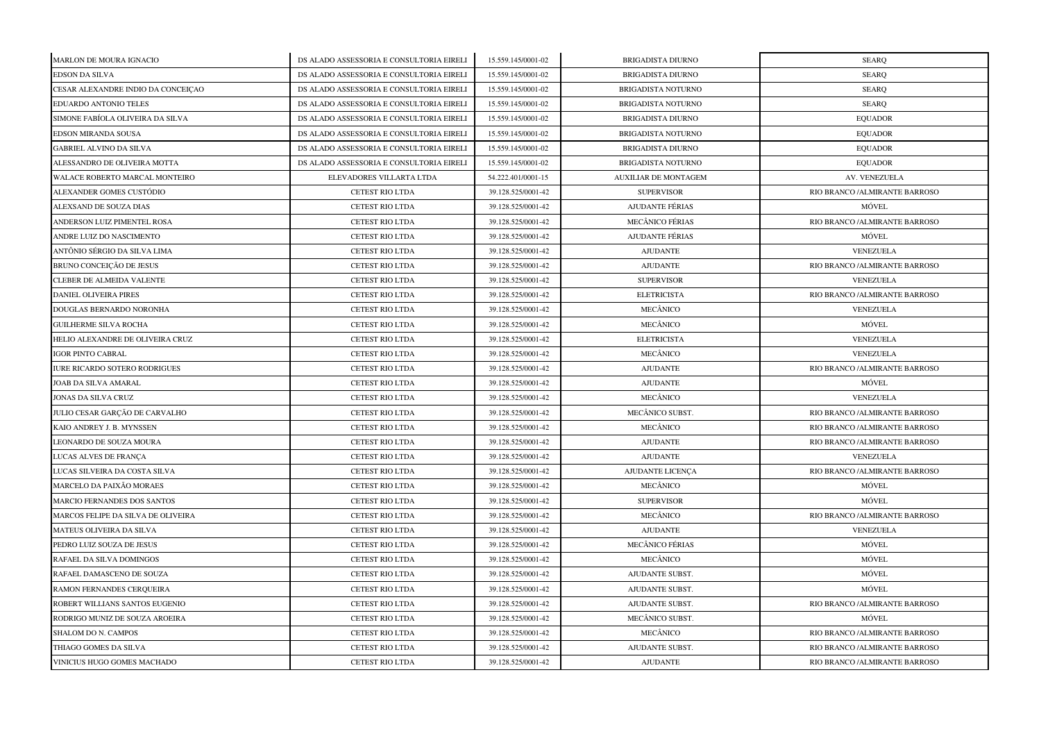| MARLON DE MOURA IGNACIO              | DS ALADO ASSESSORIA E CONSULTORIA EIRELI | 15.559.145/0001-02 | <b>BRIGADISTA DIURNO</b>    | <b>SEARQ</b>                  |
|--------------------------------------|------------------------------------------|--------------------|-----------------------------|-------------------------------|
| <b>EDSON DA SILVA</b>                | DS ALADO ASSESSORIA E CONSULTORIA EIRELI | 15.559.145/0001-02 | <b>BRIGADISTA DIURNO</b>    | <b>SEARQ</b>                  |
| CESAR ALEXANDRE INDIO DA CONCEIÇÃO   | DS ALADO ASSESSORIA E CONSULTORIA EIRELI | 15.559.145/0001-02 | BRIGADISTA NOTURNO          | <b>SEARQ</b>                  |
| EDUARDO ANTONIO TELES                | DS ALADO ASSESSORIA E CONSULTORIA EIRELI | 15.559.145/0001-02 | BRIGADISTA NOTURNO          | <b>SEARQ</b>                  |
| SIMONE FABÍOLA OLIVEIRA DA SILVA     | DS ALADO ASSESSORIA E CONSULTORIA EIRELI | 15.559.145/0001-02 | <b>BRIGADISTA DIURNO</b>    | <b>EQUADOR</b>                |
| EDSON MIRANDA SOUSA                  | DS ALADO ASSESSORIA E CONSULTORIA EIRELI | 15.559.145/0001-02 | <b>BRIGADISTA NOTURNO</b>   | <b>EQUADOR</b>                |
| <b>GABRIEL ALVINO DA SILVA</b>       | DS ALADO ASSESSORIA E CONSULTORIA EIRELI | 15.559.145/0001-02 | <b>BRIGADISTA DIURNO</b>    | <b>EQUADOR</b>                |
| ALESSANDRO DE OLIVEIRA MOTTA         | DS ALADO ASSESSORIA E CONSULTORIA EIRELI | 15.559.145/0001-02 | <b>BRIGADISTA NOTURNO</b>   | <b>EQUADOR</b>                |
| WALACE ROBERTO MARCAL MONTEIRO       | ELEVADORES VILLARTA LTDA                 | 54.222.401/0001-15 | <b>AUXILIAR DE MONTAGEM</b> | AV. VENEZUELA                 |
| ALEXANDER GOMES CUSTÓDIO             | <b>CETEST RIO LTDA</b>                   | 39.128.525/0001-42 | <b>SUPERVISOR</b>           | RIO BRANCO /ALMIRANTE BARROSO |
| ALEXSAND DE SOUZA DIAS               | <b>CETEST RIO LTDA</b>                   | 39.128.525/0001-42 | <b>AJUDANTE FÉRIAS</b>      | MÓVEL                         |
| ANDERSON LUIZ PIMENTEL ROSA          | <b>CETEST RIO LTDA</b>                   | 39.128.525/0001-42 | <b>MECÂNICO FÉRIAS</b>      | RIO BRANCO /ALMIRANTE BARROSO |
| ANDRE LUIZ DO NASCIMENTO             | <b>CETEST RIO LTDA</b>                   | 39.128.525/0001-42 | <b>AJUDANTE FÉRIAS</b>      | MÓVEL                         |
| ANTÔNIO SÉRGIO DA SILVA LIMA         | <b>CETEST RIO LTDA</b>                   | 39.128.525/0001-42 | <b>AJUDANTE</b>             | VENEZUELA                     |
| BRUNO CONCEIÇÃO DE JESUS             | <b>CETEST RIO LTDA</b>                   | 39.128.525/0001-42 | <b>AJUDANTE</b>             | RIO BRANCO /ALMIRANTE BARROSO |
| <b>CLEBER DE ALMEIDA VALENTE</b>     | <b>CETEST RIO LTDA</b>                   | 39.128.525/0001-42 | <b>SUPERVISOR</b>           | VENEZUELA                     |
| <b>DANIEL OLIVEIRA PIRES</b>         | <b>CETEST RIO LTDA</b>                   | 39.128.525/0001-42 | <b>ELETRICISTA</b>          | RIO BRANCO /ALMIRANTE BARROSO |
| DOUGLAS BERNARDO NORONHA             | <b>CETEST RIO LTDA</b>                   | 39.128.525/0001-42 | MECÂNICO                    | VENEZUELA                     |
| <b>GUILHERME SILVA ROCHA</b>         | <b>CETEST RIO LTDA</b>                   | 39.128.525/0001-42 | MECÂNICO                    | MÓVEL                         |
| HELIO ALEXANDRE DE OLIVEIRA CRUZ     | CETEST RIO LTDA                          | 39.128.525/0001-42 | <b>ELETRICISTA</b>          | VENEZUELA                     |
| <b>IGOR PINTO CABRAL</b>             | <b>CETEST RIO LTDA</b>                   | 39.128.525/0001-42 | MECÂNICO                    | VENEZUELA                     |
| <b>IURE RICARDO SOTERO RODRIGUES</b> | <b>CETEST RIO LTDA</b>                   | 39.128.525/0001-42 | <b>AJUDANTE</b>             | RIO BRANCO /ALMIRANTE BARROSO |
| JOAB DA SILVA AMARAL                 | CETEST RIO LTDA                          | 39.128.525/0001-42 | <b>AJUDANTE</b>             | MÓVEL                         |
| JONAS DA SILVA CRUZ                  | <b>CETEST RIO LTDA</b>                   | 39.128.525/0001-42 | MECÂNICO                    | VENEZUELA                     |
| JULIO CESAR GARÇÃO DE CARVALHO       | <b>CETEST RIO LTDA</b>                   | 39.128.525/0001-42 | MECÂNICO SUBST.             | RIO BRANCO /ALMIRANTE BARROSO |
| KAIO ANDREY J. B. MYNSSEN            | <b>CETEST RIO LTDA</b>                   | 39.128.525/0001-42 | MECÂNICO                    | RIO BRANCO /ALMIRANTE BARROSO |
| LEONARDO DE SOUZA MOURA              | <b>CETEST RIO LTDA</b>                   | 39.128.525/0001-42 | <b>AJUDANTE</b>             | RIO BRANCO /ALMIRANTE BARROSO |
| LUCAS ALVES DE FRANÇA                | <b>CETEST RIO LTDA</b>                   | 39.128.525/0001-42 | <b>AJUDANTE</b>             | VENEZUELA                     |
| LUCAS SILVEIRA DA COSTA SILVA        | <b>CETEST RIO LTDA</b>                   | 39.128.525/0001-42 | <b>AJUDANTE LICENÇA</b>     | RIO BRANCO /ALMIRANTE BARROSO |
| MARCELO DA PAIXÃO MORAES             | <b>CETEST RIO LTDA</b>                   | 39.128.525/0001-42 | MECÂNICO                    | MÓVEL                         |
| <b>MARCIO FERNANDES DOS SANTOS</b>   | <b>CETEST RIO LTDA</b>                   | 39.128.525/0001-42 | <b>SUPERVISOR</b>           | MÓVEL                         |
| MARCOS FELIPE DA SILVA DE OLIVEIRA   | <b>CETEST RIO LTDA</b>                   | 39.128.525/0001-42 | MECÂNICO                    | RIO BRANCO /ALMIRANTE BARROSO |
| MATEUS OLIVEIRA DA SILVA             | <b>CETEST RIO LTDA</b>                   | 39.128.525/0001-42 | <b>AJUDANTE</b>             | VENEZUELA                     |
| PEDRO LUIZ SOUZA DE JESUS            | <b>CETEST RIO LTDA</b>                   | 39.128.525/0001-42 | <b>MECÂNICO FÉRIAS</b>      | MÓVEL                         |
| RAFAEL DA SILVA DOMINGOS             | <b>CETEST RIO LTDA</b>                   | 39.128.525/0001-42 | MECÂNICO                    | MÓVEL                         |
| RAFAEL DAMASCENO DE SOUZA            | <b>CETEST RIO LTDA</b>                   | 39.128.525/0001-42 | AJUDANTE SUBST.             | MÓVEL                         |
| RAMON FERNANDES CERQUEIRA            | <b>CETEST RIO LTDA</b>                   | 39.128.525/0001-42 | AJUDANTE SUBST.             | MÓVEL                         |
| ROBERT WILLIANS SANTOS EUGENIO       | <b>CETEST RIO LTDA</b>                   | 39.128.525/0001-42 | AJUDANTE SUBST.             | RIO BRANCO /ALMIRANTE BARROSO |
| RODRIGO MUNIZ DE SOUZA AROEIRA       | CETEST RIO LTDA                          | 39.128.525/0001-42 | MECÂNICO SUBST.             | MÓVEL                         |
| SHALOM DO N. CAMPOS                  | <b>CETEST RIO LTDA</b>                   | 39.128.525/0001-42 | MECÂNICO                    | RIO BRANCO /ALMIRANTE BARROSO |
| THIAGO GOMES DA SILVA                | <b>CETEST RIO LTDA</b>                   | 39.128.525/0001-42 | AJUDANTE SUBST.             | RIO BRANCO /ALMIRANTE BARROSO |
| VINICIUS HUGO GOMES MACHADO          | <b>CETEST RIO LTDA</b>                   | 39.128.525/0001-42 | <b>AJUDANTE</b>             | RIO BRANCO /ALMIRANTE BARROSO |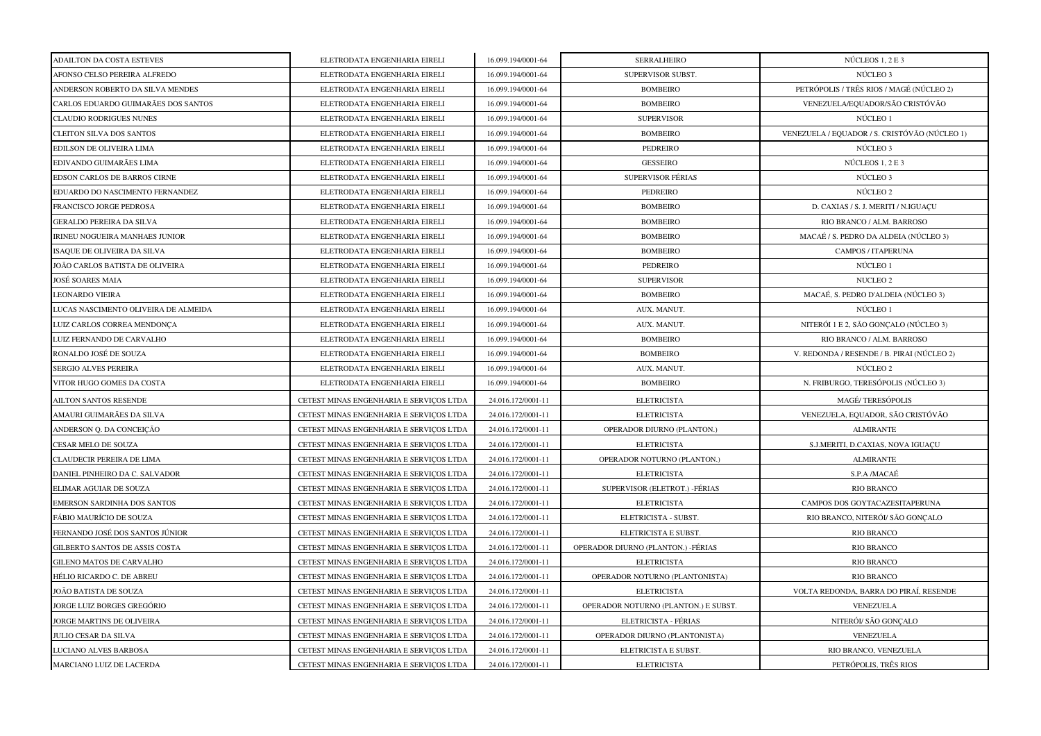| <b>ADAILTON DA COSTA ESTEVES</b>     | ELETRODATA ENGENHARIA EIRELI            | 16.099.194/0001-64 | <b>SERRALHEIRO</b>                   | NÚCLEOS 1, 2 E 3                              |
|--------------------------------------|-----------------------------------------|--------------------|--------------------------------------|-----------------------------------------------|
| AFONSO CELSO PEREIRA ALFREDO         | ELETRODATA ENGENHARIA EIRELI            | 16.099.194/0001-64 | SUPERVISOR SUBST.                    | NÚCLEO <sub>3</sub>                           |
| ANDERSON ROBERTO DA SILVA MENDES     | ELETRODATA ENGENHARIA EIRELI            | 16.099.194/0001-64 | <b>BOMBEIRO</b>                      | PETRÓPOLIS / TRÊS RIOS / MAGÉ (NÚCLEO 2)      |
| CARLOS EDUARDO GUIMARÃES DOS SANTOS  | ELETRODATA ENGENHARIA EIRELI            | 16.099.194/0001-64 | <b>BOMBEIRO</b>                      | VENEZUELA/EQUADOR/SÃO CRISTÓVÃO               |
| <b>CLAUDIO RODRIGUES NUNES</b>       | ELETRODATA ENGENHARIA EIRELI            | 16.099.194/0001-64 | <b>SUPERVISOR</b>                    | NÚCLEO 1                                      |
| <b>CLEITON SILVA DOS SANTOS</b>      | ELETRODATA ENGENHARIA EIRELI            | 16.099.194/0001-64 | <b>BOMBEIRO</b>                      | VENEZUELA / EQUADOR / S. CRISTÓVÃO (NÚCLEO 1) |
| EDILSON DE OLIVEIRA LIMA             | ELETRODATA ENGENHARIA EIRELI            | 16.099.194/0001-64 | <b>PEDREIRO</b>                      | NÚCLEO 3                                      |
| EDIVANDO GUIMARÃES LIMA              | ELETRODATA ENGENHARIA EIRELI            | 16.099.194/0001-64 | <b>GESSEIRO</b>                      | NÚCLEOS 1, 2 E 3                              |
| EDSON CARLOS DE BARROS CIRNE         | ELETRODATA ENGENHARIA EIRELI            | 16.099.194/0001-64 | <b>SUPERVISOR FÉRIAS</b>             | NÚCLEO <sub>3</sub>                           |
| EDUARDO DO NASCIMENTO FERNANDEZ      | ELETRODATA ENGENHARIA EIRELI            | 16.099.194/0001-64 | PEDREIRO                             | NÚCLEO 2                                      |
| FRANCISCO JORGE PEDROSA              | ELETRODATA ENGENHARIA EIRELI            | 16.099.194/0001-64 | <b>BOMBEIRO</b>                      | D. CAXIAS / S. J. MERITI / N.IGUAÇU           |
| <b>GERALDO PEREIRA DA SILVA</b>      | ELETRODATA ENGENHARIA EIRELI            | 16.099.194/0001-64 | <b>BOMBEIRO</b>                      | RIO BRANCO / ALM. BARROSO                     |
| IRINEU NOGUEIRA MANHAES JUNIOR       | ELETRODATA ENGENHARIA EIRELI            | 16.099.194/0001-64 | <b>BOMBEIRO</b>                      | MACAÉ / S. PEDRO DA ALDEIA (NÚCLEO 3)         |
| ISAQUE DE OLIVEIRA DA SILVA          | ELETRODATA ENGENHARIA EIRELI            | 16.099.194/0001-64 | <b>BOMBEIRO</b>                      | CAMPOS / ITAPERUNA                            |
| JOÃO CARLOS BATISTA DE OLIVEIRA      | ELETRODATA ENGENHARIA EIRELI            | 16.099.194/0001-64 | PEDREIRO                             | NÚCLEO 1                                      |
| JOSÉ SOARES MAIA                     | ELETRODATA ENGENHARIA EIRELI            | 16.099.194/0001-64 | <b>SUPERVISOR</b>                    | NUCLEO 2                                      |
| <b>LEONARDO VIEIRA</b>               | ELETRODATA ENGENHARIA EIRELI            | 16.099.194/0001-64 | <b>BOMBEIRO</b>                      | MACAÉ, S. PEDRO D'ALDEIA (NÚCLEO 3)           |
| LUCAS NASCIMENTO OLIVEIRA DE ALMEIDA | ELETRODATA ENGENHARIA EIRELI            | 16.099.194/0001-64 | AUX. MANUT.                          | NÚCLEO 1                                      |
| LUIZ CARLOS CORREA MENDONÇA          | ELETRODATA ENGENHARIA EIRELI            | 16.099.194/0001-64 | AUX. MANUT.                          | NITERÓI 1 E 2, SÃO GONÇALO (NÚCLEO 3)         |
| LUIZ FERNANDO DE CARVALHO            | ELETRODATA ENGENHARIA EIRELI            | 16.099.194/0001-64 | <b>BOMBEIRO</b>                      | RIO BRANCO / ALM. BARROSO                     |
| RONALDO JOSÉ DE SOUZA                | ELETRODATA ENGENHARIA EIRELI            | 16.099.194/0001-64 | <b>BOMBEIRO</b>                      | V. REDONDA / RESENDE / B. PIRAI (NÚCLEO 2)    |
| SERGIO ALVES PEREIRA                 | ELETRODATA ENGENHARIA EIRELI            | 16.099.194/0001-64 | AUX. MANUT.                          | NÚCLEO 2                                      |
| VITOR HUGO GOMES DA COSTA            | ELETRODATA ENGENHARIA EIRELI            | 16.099.194/0001-64 | <b>BOMBEIRO</b>                      | N. FRIBURGO, TERESÓPOLIS (NÚCLEO 3)           |
| AILTON SANTOS RESENDE                | CETEST MINAS ENGENHARIA E SERVIÇOS LTDA | 24.016.172/0001-11 | <b>ELETRICISTA</b>                   | <b>MAGÉ/TERESÓPOLIS</b>                       |
| AMAURI GUIMARÃES DA SILVA            | CETEST MINAS ENGENHARIA E SERVIÇOS LTDA | 24.016.172/0001-11 | <b>ELETRICISTA</b>                   | VENEZUELA, EQUADOR, SÃO CRISTÓVÃO             |
| ANDERSON Q. DA CONCEIÇÃO             | CETEST MINAS ENGENHARIA E SERVICOS LTDA | 24.016.172/0001-11 | OPERADOR DIURNO (PLANTON.)           | <b>ALMIRANTE</b>                              |
| CESAR MELO DE SOUZA                  | CETEST MINAS ENGENHARIA E SERVICOS LTDA | 24.016.172/0001-11 | <b>ELETRICISTA</b>                   | S.J.MERITI, D.CAXIAS, NOVA IGUAÇU             |
| CLAUDECIR PEREIRA DE LIMA            | CETEST MINAS ENGENHARIA E SERVIÇOS LTDA | 24.016.172/0001-11 | OPERADOR NOTURNO (PLANTON.)          | <b>ALMIRANTE</b>                              |
| DANIEL PINHEIRO DA C. SALVADOR       | CETEST MINAS ENGENHARIA E SERVICOS LTDA | 24.016.172/0001-11 | <b>ELETRICISTA</b>                   | S.P.A /MACAÉ                                  |
| ELIMAR AGUIAR DE SOUZA               | CETEST MINAS ENGENHARIA E SERVICOS LTDA | 24.016.172/0001-11 | SUPERVISOR (ELETROT.) - FÉRIAS       | <b>RIO BRANCO</b>                             |
| EMERSON SARDINHA DOS SANTOS          | CETEST MINAS ENGENHARIA E SERVIÇOS LTDA | 24.016.172/0001-11 | <b>ELETRICISTA</b>                   | CAMPOS DOS GOYTACAZESITAPERUNA                |
| FÁBIO MAURÍCIO DE SOUZA              | CETEST MINAS ENGENHARIA E SERVIÇOS LTDA | 24.016.172/0001-11 | ELETRICISTA - SUBST.                 | RIO BRANCO, NITERÓI/ SÃO GONÇALO              |
| FERNANDO JOSÉ DOS SANTOS JÚNIOR      | CETEST MINAS ENGENHARIA E SERVIÇOS LTDA | 24.016.172/0001-11 | ELETRICISTA E SUBST.                 | <b>RIO BRANCO</b>                             |
| GILBERTO SANTOS DE ASSIS COSTA       | CETEST MINAS ENGENHARIA E SERVIÇOS LTDA | 24.016.172/0001-11 | OPERADOR DIURNO (PLANTON.) -FÉRIAS   | RIO BRANCO                                    |
| GILENO MATOS DE CARVALHO             | CETEST MINAS ENGENHARIA E SERVIÇOS LTDA | 24.016.172/0001-11 | <b>ELETRICISTA</b>                   | <b>RIO BRANCO</b>                             |
| HÉLIO RICARDO C. DE ABREU            | CETEST MINAS ENGENHARIA E SERVICOS LTDA | 24.016.172/0001-11 | OPERADOR NOTURNO (PLANTONISTA)       | <b>RIO BRANCO</b>                             |
| JOÃO BATISTA DE SOUZA                | CETEST MINAS ENGENHARIA E SERVIÇOS LTDA | 24.016.172/0001-11 | <b>ELETRICISTA</b>                   | VOLTA REDONDA, BARRA DO PIRAÍ, RESENDE        |
| JORGE LUIZ BORGES GREGÓRIO           | CETEST MINAS ENGENHARIA E SERVICOS LTDA | 24.016.172/0001-11 | OPERADOR NOTURNO (PLANTON.) E SUBST. | VENEZUELA                                     |
| JORGE MARTINS DE OLIVEIRA            | CETEST MINAS ENGENHARIA E SERVICOS LTDA | 24.016.172/0001-11 | ELETRICISTA - FÉRIAS                 | NITERÓI/ SÃO GONCALO                          |
| JULIO CESAR DA SILVA                 | CETEST MINAS ENGENHARIA E SERVIÇOS LTDA | 24.016.172/0001-11 | OPERADOR DIURNO (PLANTONISTA)        | VENEZUELA                                     |
| LUCIANO ALVES BARBOSA                | CETEST MINAS ENGENHARIA E SERVIÇOS LTDA | 24.016.172/0001-11 | ELETRICISTA E SUBST.                 | RIO BRANCO, VENEZUELA                         |
| MARCIANO LUIZ DE LACERDA             | CETEST MINAS ENGENHARIA E SERVIÇOS LTDA | 24.016.172/0001-11 | <b>ELETRICISTA</b>                   | PETRÓPOLIS, TRÊS RIOS                         |
|                                      |                                         |                    |                                      |                                               |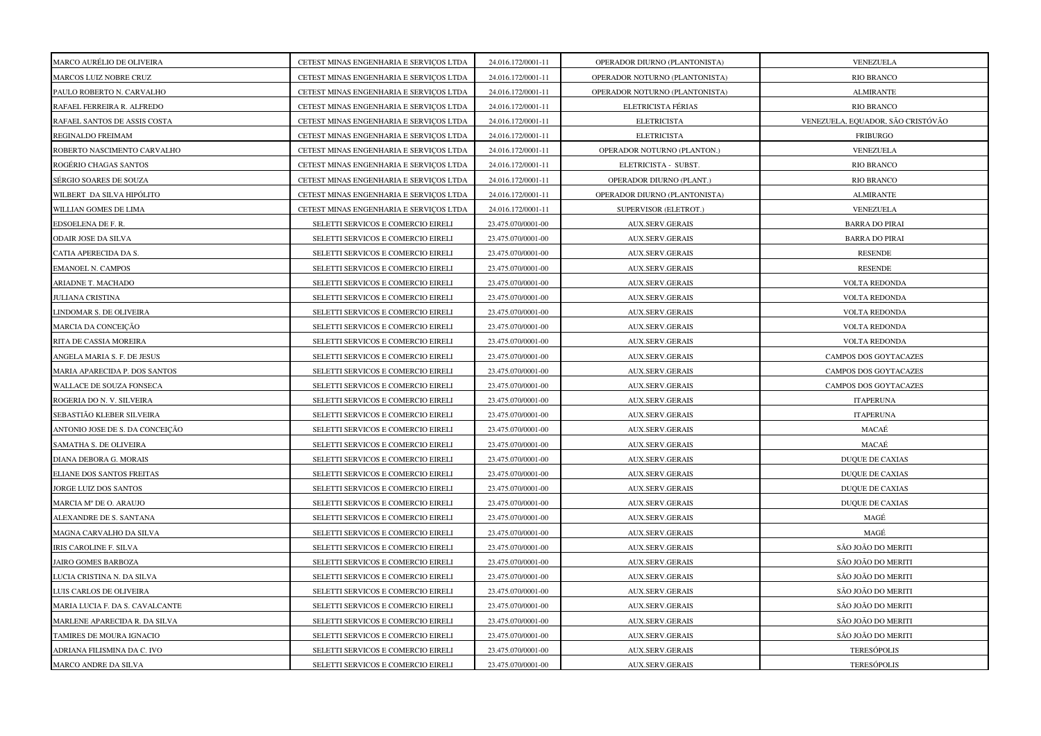| MARCO AURÉLIO DE OLIVEIRA       | CETEST MINAS ENGENHARIA E SERVIÇOS LTDA | 24.016.172/0001-11 | OPERADOR DIURNO (PLANTONISTA)  | VENEZUELA                         |
|---------------------------------|-----------------------------------------|--------------------|--------------------------------|-----------------------------------|
| MARCOS LUIZ NOBRE CRUZ          | CETEST MINAS ENGENHARIA E SERVIÇOS LTDA | 24.016.172/0001-11 | OPERADOR NOTURNO (PLANTONISTA) | <b>RIO BRANCO</b>                 |
| PAULO ROBERTO N. CARVALHO       | CETEST MINAS ENGENHARIA E SERVIÇOS LTDA | 24.016.172/0001-11 | OPERADOR NOTURNO (PLANTONISTA) | <b>ALMIRANTE</b>                  |
| RAFAEL FERREIRA R. ALFREDO      | CETEST MINAS ENGENHARIA E SERVIÇOS LTDA | 24.016.172/0001-11 | ELETRICISTA FÉRIAS             | <b>RIO BRANCO</b>                 |
| RAFAEL SANTOS DE ASSIS COSTA    | CETEST MINAS ENGENHARIA E SERVIÇOS LTDA | 24.016.172/0001-11 | <b>ELETRICISTA</b>             | VENEZUELA, EQUADOR, SÃO CRISTÓVÃO |
| REGINALDO FREIMAM               | CETEST MINAS ENGENHARIA E SERVIÇOS LTDA | 24.016.172/0001-11 | <b>ELETRICISTA</b>             | <b>FRIBURGO</b>                   |
| ROBERTO NASCIMENTO CARVALHO     | CETEST MINAS ENGENHARIA E SERVIÇOS LTDA | 24.016.172/0001-11 | OPERADOR NOTURNO (PLANTON.)    | VENEZUELA                         |
| ROGÉRIO CHAGAS SANTOS           | CETEST MINAS ENGENHARIA E SERVIÇOS LTDA | 24.016.172/0001-11 | ELETRICISTA - SUBST.           | <b>RIO BRANCO</b>                 |
| SÉRGIO SOARES DE SOUZA          | CETEST MINAS ENGENHARIA E SERVIÇOS LTDA | 24.016.172/0001-11 | OPERADOR DIURNO (PLANT.)       | <b>RIO BRANCO</b>                 |
| WILBERT DA SILVA HIPÓLITO       | CETEST MINAS ENGENHARIA E SERVIÇOS LTDA | 24.016.172/0001-11 | OPERADOR DIURNO (PLANTONISTA)  | <b>ALMIRANTE</b>                  |
| WILLIAN GOMES DE LIMA           | CETEST MINAS ENGENHARIA E SERVIÇOS LTDA | 24.016.172/0001-11 | SUPERVISOR (ELETROT.)          | VENEZUELA                         |
| EDSOELENA DE F. R.              | SELETTI SERVICOS E COMERCIO EIRELI      | 23.475.070/0001-00 | AUX.SERV.GERAIS                | <b>BARRA DO PIRAI</b>             |
| ODAIR JOSE DA SILVA             | SELETTI SERVICOS E COMERCIO EIRELI      | 23.475.070/0001-00 | <b>AUX.SERV.GERAIS</b>         | <b>BARRA DO PIRAI</b>             |
| CATIA APERECIDA DA S.           | SELETTI SERVICOS E COMERCIO EIRELI      | 23.475.070/0001-00 | <b>AUX.SERV.GERAIS</b>         | <b>RESENDE</b>                    |
| EMANOEL N. CAMPOS               | SELETTI SERVICOS E COMERCIO EIRELI      | 23.475.070/0001-00 | <b>AUX.SERV.GERAIS</b>         | <b>RESENDE</b>                    |
| ARIADNE T. MACHADO              | SELETTI SERVICOS E COMERCIO EIRELI      | 23.475.070/0001-00 | <b>AUX.SERV.GERAIS</b>         | <b>VOLTA REDONDA</b>              |
| JULIANA CRISTINA                | SELETTI SERVICOS E COMERCIO EIRELI      | 23.475.070/0001-00 | <b>AUX.SERV.GERAIS</b>         | <b>VOLTA REDONDA</b>              |
| <b>INDOMAR S. DE OLIVEIRA</b>   | SELETTI SERVICOS E COMERCIO EIRELI      | 23.475.070/0001-00 | <b>AUX.SERV.GERAIS</b>         | <b>VOLTA REDONDA</b>              |
| MARCIA DA CONCEIÇÃO             | SELETTI SERVICOS E COMERCIO EIRELI      | 23.475.070/0001-00 | <b>AUX.SERV.GERAIS</b>         | VOLTA REDONDA                     |
| RITA DE CASSIA MOREIRA          | SELETTI SERVICOS E COMERCIO EIRELI      | 23.475.070/0001-00 | <b>AUX.SERV.GERAIS</b>         | <b>VOLTA REDONDA</b>              |
| ANGELA MARIA S. F. DE JESUS     | SELETTI SERVICOS E COMERCIO EIRELI      | 23.475.070/0001-00 | AUX.SERV.GERAIS                | CAMPOS DOS GOYTACAZES             |
| MARIA APARECIDA P. DOS SANTOS   | SELETTI SERVICOS E COMERCIO EIRELI      | 23.475.070/0001-00 | AUX.SERV.GERAIS                | CAMPOS DOS GOYTACAZES             |
| WALLACE DE SOUZA FONSECA        | SELETTI SERVICOS E COMERCIO EIRELI      | 23.475.070/0001-00 | <b>AUX.SERV.GERAIS</b>         | CAMPOS DOS GOYTACAZES             |
| ROGERIA DO N. V. SILVEIRA       | SELETTI SERVICOS E COMERCIO EIRELI      | 23.475.070/0001-00 | AUX.SERV.GERAIS                | <b>ITAPERUNA</b>                  |
| SEBASTIÃO KLEBER SILVEIRA       | SELETTI SERVICOS E COMERCIO EIRELI      | 23.475.070/0001-00 | AUX.SERV.GERAIS                | <b>ITAPERUNA</b>                  |
| ANTONIO JOSE DE S. DA CONCEIÇÃO | SELETTI SERVICOS E COMERCIO EIRELI      | 23.475.070/0001-00 | <b>AUX.SERV.GERAIS</b>         | MACAÉ                             |
| SAMATHA S. DE OLIVEIRA          | SELETTI SERVICOS E COMERCIO EIRELI      | 23.475.070/0001-00 | <b>AUX.SERV.GERAIS</b>         | MACAÉ                             |
| DIANA DEBORA G. MORAIS          | SELETTI SERVICOS E COMERCIO EIRELI      | 23.475.070/0001-00 | <b>AUX.SERV.GERAIS</b>         | DUQUE DE CAXIAS                   |
| ELIANE DOS SANTOS FREITAS       | SELETTI SERVICOS E COMERCIO EIRELI      | 23.475.070/0001-00 | <b>AUX.SERV.GERAIS</b>         | <b>DUQUE DE CAXIAS</b>            |
| <b>IORGE LUIZ DOS SANTOS</b>    | SELETTI SERVICOS E COMERCIO EIRELI      | 23.475.070/0001-00 | <b>AUX.SERV.GERAIS</b>         | <b>DUQUE DE CAXIAS</b>            |
| MARCIA Mº DE O. ARAUJO          | SELETTI SERVICOS E COMERCIO EIRELI      | 23.475.070/0001-00 | AUX.SERV.GERAIS                | <b>DUQUE DE CAXIAS</b>            |
| ALEXANDRE DE S. SANTANA         | SELETTI SERVICOS E COMERCIO EIRELI      | 23.475.070/0001-00 | <b>AUX.SERV.GERAIS</b>         | MAGÉ                              |
| MAGNA CARVALHO DA SILVA         | SELETTI SERVICOS E COMERCIO EIRELI      | 23.475.070/0001-00 | AUX.SERV.GERAIS                | MAGÉ                              |
| IRIS CAROLINE F. SILVA          | SELETTI SERVICOS E COMERCIO EIRELI      | 23.475.070/0001-00 | AUX.SERV.GERAIS                | SÃO JOÃO DO MERITI                |
| <b>JAIRO GOMES BARBOZA</b>      | SELETTI SERVICOS E COMERCIO EIRELI      | 23.475.070/0001-00 | AUX.SERV.GERAIS                | SÃO JOÃO DO MERITI                |
| JUCIA CRISTINA N. DA SILVA      | SELETTI SERVICOS E COMERCIO EIRELI      | 23.475.070/0001-00 | <b>AUX.SERV.GERAIS</b>         | SÃO JOÃO DO MERITI                |
| LUIS CARLOS DE OLIVEIRA         | SELETTI SERVICOS E COMERCIO EIRELI      | 23.475.070/0001-00 | <b>AUX.SERV.GERAIS</b>         | SÃO JOÃO DO MERITI                |
| MARIA LUCIA F. DA S. CAVALCANTE | SELETTI SERVICOS E COMERCIO EIRELI      | 23.475.070/0001-00 | <b>AUX.SERV.GERAIS</b>         | SÃO JOÃO DO MERITI                |
| MARLENE APARECIDA R. DA SILVA   | SELETTI SERVICOS E COMERCIO EIRELI      | 23.475.070/0001-00 | <b>AUX.SERV.GERAIS</b>         | SÃO JOÃO DO MERITI                |
| TAMIRES DE MOURA IGNACIO        | SELETTI SERVICOS E COMERCIO EIRELI      | 23.475.070/0001-00 | <b>AUX.SERV.GERAIS</b>         | SÃO JOÃO DO MERITI                |
| ADRIANA FILISMINA DA C. IVO     | SELETTI SERVICOS E COMERCIO EIRELI      | 23.475.070/0001-00 | <b>AUX.SERV.GERAIS</b>         | <b>TERESÓPOLIS</b>                |
| MARCO ANDRE DA SILVA            | SELETTI SERVICOS E COMERCIO EIRELI      | 23.475.070/0001-00 | AUX.SERV.GERAIS                | <b>TERESÓPOLIS</b>                |
|                                 |                                         |                    |                                |                                   |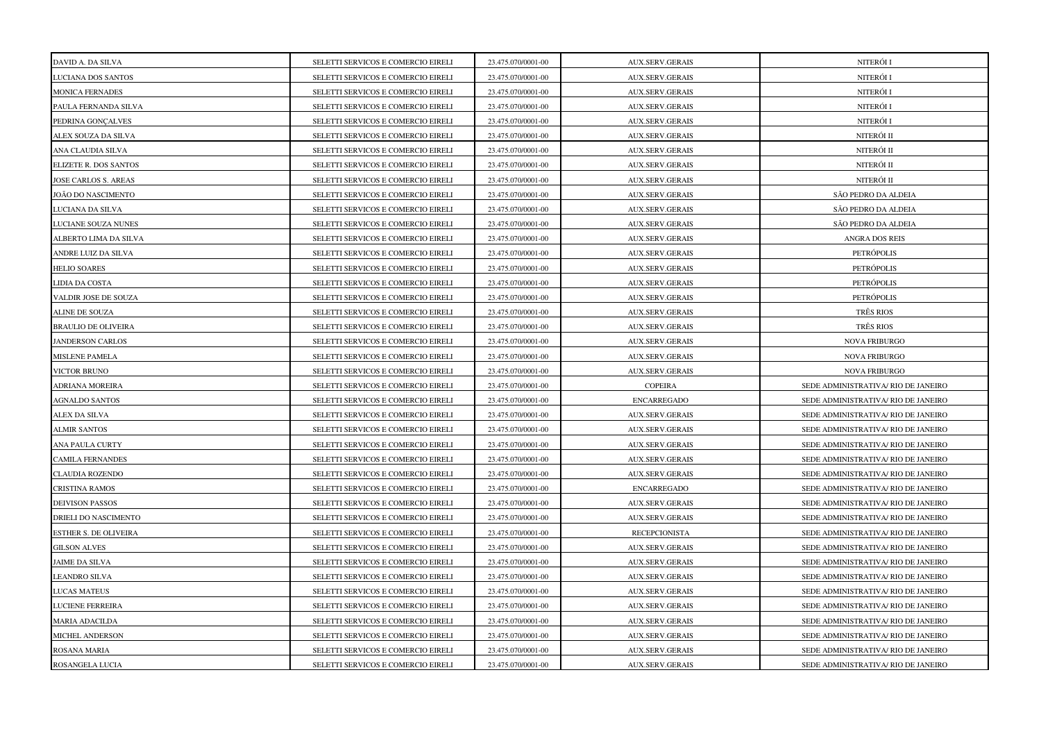| DAVID A. DA SILVA          | SELETTI SERVICOS E COMERCIO EIRELI | 23.475.070/0001-00 | <b>AUX.SERV.GERAIS</b> | NITERÓI I                           |
|----------------------------|------------------------------------|--------------------|------------------------|-------------------------------------|
| LUCIANA DOS SANTOS         | SELETTI SERVICOS E COMERCIO EIRELI | 23.475.070/0001-00 | <b>AUX.SERV.GERAIS</b> | NITERÓI I                           |
| <b>MONICA FERNADES</b>     | SELETTI SERVICOS E COMERCIO EIRELI | 23.475.070/0001-00 | <b>AUX.SERV.GERAIS</b> | NITERÓI I                           |
| PAULA FERNANDA SILVA       | SELETTI SERVICOS E COMERCIO EIRELI | 23.475.070/0001-00 | <b>AUX.SERV.GERAIS</b> | NITERÓI I                           |
| PEDRINA GONCALVES          | SELETTI SERVICOS E COMERCIO EIRELI | 23.475.070/0001-00 | <b>AUX.SERV.GERAIS</b> | NITERÓI I                           |
| ALEX SOUZA DA SILVA        | SELETTI SERVICOS E COMERCIO EIRELI | 23.475.070/0001-00 | <b>AUX.SERV.GERAIS</b> | NITERÓI II                          |
| ANA CLAUDIA SILVA          | SELETTI SERVICOS E COMERCIO EIRELI | 23.475.070/0001-00 | <b>AUX.SERV.GERAIS</b> | NITERÓI II                          |
| ELIZETE R. DOS SANTOS      | SELETTI SERVICOS E COMERCIO EIRELI | 23.475.070/0001-00 | AUX.SERV.GERAIS        | NITERÓI II                          |
| JOSE CARLOS S. AREAS       | SELETTI SERVICOS E COMERCIO EIRELI | 23.475.070/0001-00 | <b>AUX.SERV.GERAIS</b> | NITERÓI II                          |
| JOÃO DO NASCIMENTO         | SELETTI SERVICOS E COMERCIO EIRELI | 23.475.070/0001-00 | <b>AUX.SERV.GERAIS</b> | SÃO PEDRO DA ALDEIA                 |
| <b>JUCIANA DA SILVA</b>    | SELETTI SERVICOS E COMERCIO EIRELI | 23.475.070/0001-00 | <b>AUX.SERV.GERAIS</b> | SÃO PEDRO DA ALDEIA                 |
| <b>JUCIANE SOUZA NUNES</b> | SELETTI SERVICOS E COMERCIO EIRELI | 23.475.070/0001-00 | AUX.SERV.GERAIS        | SÃO PEDRO DA ALDEIA                 |
| ALBERTO LIMA DA SILVA      | SELETTI SERVICOS E COMERCIO EIRELI | 23.475.070/0001-00 | <b>AUX.SERV.GERAIS</b> | <b>ANGRA DOS REIS</b>               |
| ANDRE LUIZ DA SILVA        | SELETTI SERVICOS E COMERCIO EIRELI | 23.475.070/0001-00 | <b>AUX.SERV.GERAIS</b> | PETRÓPOLIS                          |
| <b>HELIO SOARES</b>        | SELETTI SERVICOS E COMERCIO EIRELI | 23.475.070/0001-00 | <b>AUX.SERV.GERAIS</b> | PETRÓPOLIS                          |
| <b>JIDIA DA COSTA</b>      | SELETTI SERVICOS E COMERCIO EIRELI | 23.475.070/0001-00 | <b>AUX.SERV.GERAIS</b> | PETRÓPOLIS                          |
| VALDIR JOSE DE SOUZA       | SELETTI SERVICOS E COMERCIO EIRELI | 23.475.070/0001-00 | <b>AUX.SERV.GERAIS</b> | PETRÓPOLIS                          |
| ALINE DE SOUZA             | SELETTI SERVICOS E COMERCIO EIRELI | 23.475.070/0001-00 | <b>AUX.SERV.GERAIS</b> | TRÊS RIOS                           |
| <b>BRAULIO DE OLIVEIRA</b> | SELETTI SERVICOS E COMERCIO EIRELI | 23.475.070/0001-00 | <b>AUX.SERV.GERAIS</b> | TRÊS RIOS                           |
| <b>JANDERSON CARLOS</b>    | SELETTI SERVICOS E COMERCIO EIRELI | 23.475.070/0001-00 | <b>AUX.SERV.GERAIS</b> | <b>NOVA FRIBURGO</b>                |
| <b>MISLENE PAMELA</b>      | SELETTI SERVICOS E COMERCIO EIRELI | 23.475.070/0001-00 | AUX.SERV.GERAIS        | <b>NOVA FRIBURGO</b>                |
| <b>VICTOR BRUNO</b>        | SELETTI SERVICOS E COMERCIO EIRELI | 23.475.070/0001-00 | <b>AUX.SERV.GERAIS</b> | <b>NOVA FRIBURGO</b>                |
| ADRIANA MOREIRA            | SELETTI SERVICOS E COMERCIO EIRELI | 23.475.070/0001-00 | COPEIRA                | SEDE ADMINISTRATIVA/ RIO DE JANEIRO |
| <b>AGNALDO SANTOS</b>      | SELETTI SERVICOS E COMERCIO EIRELI | 23.475.070/0001-00 | <b>ENCARREGADO</b>     | SEDE ADMINISTRATIVA/ RIO DE JANEIRO |
| ALEX DA SILVA              | SELETTI SERVICOS E COMERCIO EIRELI | 23.475.070/0001-00 | <b>AUX.SERV.GERAIS</b> | SEDE ADMINISTRATIVA/ RIO DE JANEIRO |
| <b>ALMIR SANTOS</b>        | SELETTI SERVICOS E COMERCIO EIRELI | 23.475.070/0001-00 | <b>AUX.SERV.GERAIS</b> | SEDE ADMINISTRATIVA/ RIO DE JANEIRO |
| ANA PAULA CURTY            | SELETTI SERVICOS E COMERCIO EIRELI | 23.475.070/0001-00 | <b>AUX.SERV.GERAIS</b> | SEDE ADMINISTRATIVA/ RIO DE JANEIRO |
| <b>CAMILA FERNANDES</b>    | SELETTI SERVICOS E COMERCIO EIRELI | 23.475.070/0001-00 | <b>AUX.SERV.GERAIS</b> | SEDE ADMINISTRATIVA/ RIO DE JANEIRO |
| <b>CLAUDIA ROZENDO</b>     | SELETTI SERVICOS E COMERCIO EIRELI | 23.475.070/0001-00 | <b>AUX.SERV.GERAIS</b> | SEDE ADMINISTRATIVA/ RIO DE JANEIRO |
| <b>CRISTINA RAMOS</b>      | SELETTI SERVICOS E COMERCIO EIRELI | 23.475.070/0001-00 | <b>ENCARREGADO</b>     | SEDE ADMINISTRATIVA/ RIO DE JANEIRO |
| DEIVISON PASSOS            | SELETTI SERVICOS E COMERCIO EIRELI | 23.475.070/0001-00 | <b>AUX.SERV.GERAIS</b> | SEDE ADMINISTRATIVA/ RIO DE JANEIRO |
| DRIELI DO NASCIMENTO       | SELETTI SERVICOS E COMERCIO EIRELI | 23.475.070/0001-00 | <b>AUX.SERV.GERAIS</b> | SEDE ADMINISTRATIVA/ RIO DE JANEIRO |
| ESTHER S. DE OLIVEIRA      | SELETTI SERVICOS E COMERCIO EIRELI | 23.475.070/0001-00 | <b>RECEPCIONISTA</b>   | SEDE ADMINISTRATIVA/ RIO DE JANEIRO |
| <b>GILSON ALVES</b>        | SELETTI SERVICOS E COMERCIO EIRELI | 23.475.070/0001-00 | <b>AUX.SERV.GERAIS</b> | SEDE ADMINISTRATIVA/ RIO DE JANEIRO |
| <b>JAIME DA SILVA</b>      | SELETTI SERVICOS E COMERCIO EIRELI | 23.475.070/0001-00 | <b>AUX.SERV.GERAIS</b> | SEDE ADMINISTRATIVA/ RIO DE JANEIRO |
| LEANDRO SILVA              | SELETTI SERVICOS E COMERCIO EIRELI | 23.475.070/0001-00 | <b>AUX.SERV.GERAIS</b> | SEDE ADMINISTRATIVA/ RIO DE JANEIRO |
| <b>JUCAS MATEUS</b>        | SELETTI SERVICOS E COMERCIO EIRELI | 23.475.070/0001-00 | <b>AUX.SERV.GERAIS</b> | SEDE ADMINISTRATIVA/ RIO DE JANEIRO |
| LUCIENE FERREIRA           | SELETTI SERVICOS E COMERCIO EIRELI | 23.475.070/0001-00 | <b>AUX.SERV.GERAIS</b> | SEDE ADMINISTRATIVA/ RIO DE JANEIRO |
| MARIA ADACILDA             | SELETTI SERVICOS E COMERCIO EIRELI | 23.475.070/0001-00 | <b>AUX.SERV.GERAIS</b> | SEDE ADMINISTRATIVA/ RIO DE JANEIRO |
| MICHEL ANDERSON            | SELETTI SERVICOS E COMERCIO EIRELI | 23.475.070/0001-00 | <b>AUX.SERV.GERAIS</b> | SEDE ADMINISTRATIVA/ RIO DE JANEIRO |
| ROSANA MARIA               | SELETTI SERVICOS E COMERCIO EIRELI | 23.475.070/0001-00 | <b>AUX.SERV.GERAIS</b> | SEDE ADMINISTRATIVA/ RIO DE JANEIRO |
| ROSANGELA LUCIA            | SELETTI SERVICOS E COMERCIO EIRELI | 23.475.070/0001-00 | AUX.SERV.GERAIS        | SEDE ADMINISTRATIVA/ RIO DE JANEIRO |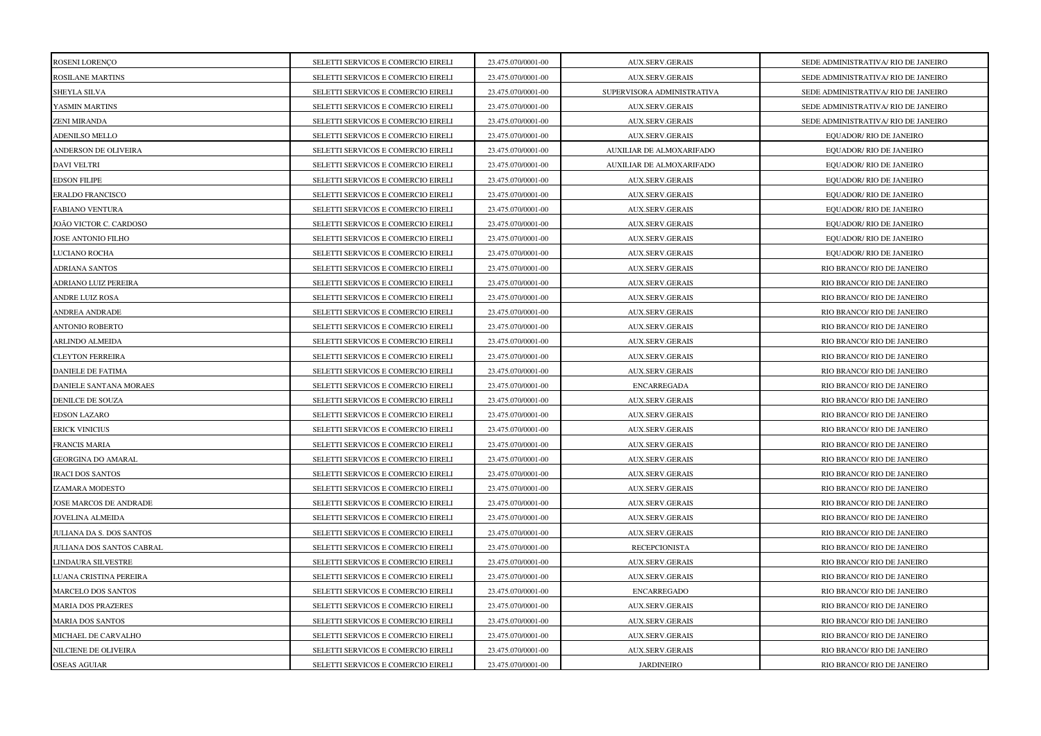| ROSENI LORENÇO            | SELETTI SERVICOS E COMERCIO EIRELI | 23.475.070/0001-00 | <b>AUX.SERV.GERAIS</b>     | SEDE ADMINISTRATIVA/ RIO DE JANEIRO |
|---------------------------|------------------------------------|--------------------|----------------------------|-------------------------------------|
| ROSILANE MARTINS          | SELETTI SERVICOS E COMERCIO EIRELI | 23.475.070/0001-00 | <b>AUX.SERV.GERAIS</b>     | SEDE ADMINISTRATIVA/ RIO DE JANEIRO |
| SHEYLA SILVA              | SELETTI SERVICOS E COMERCIO EIRELI | 23.475.070/0001-00 | SUPERVISORA ADMINISTRATIVA | SEDE ADMINISTRATIVA/ RIO DE JANEIRO |
| YASMIN MARTINS            | SELETTI SERVICOS E COMERCIO EIRELI | 23.475.070/0001-00 | <b>AUX.SERV.GERAIS</b>     | SEDE ADMINISTRATIVA/ RIO DE JANEIRO |
| <b>ZENI MIRANDA</b>       | SELETTI SERVICOS E COMERCIO EIRELI | 23.475.070/0001-00 | <b>AUX.SERV.GERAIS</b>     | SEDE ADMINISTRATIVA/ RIO DE JANEIRO |
| ADENILSO MELLO            | SELETTI SERVICOS E COMERCIO EIRELI | 23.475.070/0001-00 | <b>AUX.SERV.GERAIS</b>     | EQUADOR/ RIO DE JANEIRO             |
| ANDERSON DE OLIVEIRA      | SELETTI SERVICOS E COMERCIO EIRELI | 23.475.070/0001-00 | AUXILIAR DE ALMOXARIFADO   | EQUADOR/ RIO DE JANEIRO             |
| <b>DAVI VELTRI</b>        | SELETTI SERVICOS E COMERCIO EIRELI | 23.475.070/0001-00 | AUXILIAR DE ALMOXARIFADO   | EQUADOR/ RIO DE JANEIRO             |
| <b>EDSON FILIPE</b>       | SELETTI SERVICOS E COMERCIO EIRELI | 23.475.070/0001-00 | AUX.SERV.GERAIS            | EQUADOR/ RIO DE JANEIRO             |
| ERALDO FRANCISCO          | SELETTI SERVICOS E COMERCIO EIRELI | 23.475.070/0001-00 | <b>AUX.SERV.GERAIS</b>     | EQUADOR/ RIO DE JANEIRO             |
| FABIANO VENTURA           | SELETTI SERVICOS E COMERCIO EIRELI | 23.475.070/0001-00 | <b>AUX.SERV.GERAIS</b>     | EQUADOR/ RIO DE JANEIRO             |
| JOÃO VICTOR C. CARDOSO    | SELETTI SERVICOS E COMERCIO EIRELI | 23.475.070/0001-00 | <b>AUX.SERV.GERAIS</b>     | EQUADOR/ RIO DE JANEIRO             |
| JOSE ANTONIO FILHO        | SELETTI SERVICOS E COMERCIO EIRELI | 23.475.070/0001-00 | <b>AUX.SERV.GERAIS</b>     | EQUADOR/ RIO DE JANEIRO             |
| LUCIANO ROCHA             | SELETTI SERVICOS E COMERCIO EIRELI | 23.475.070/0001-00 | <b>AUX.SERV.GERAIS</b>     | EQUADOR/ RIO DE JANEIRO             |
| <b>ADRIANA SANTOS</b>     | SELETTI SERVICOS E COMERCIO EIRELI | 23.475.070/0001-00 | <b>AUX.SERV.GERAIS</b>     | RIO BRANCO/ RIO DE JANEIRO          |
| ADRIANO LUIZ PEREIRA      | SELETTI SERVICOS E COMERCIO EIRELI | 23.475.070/0001-00 | <b>AUX.SERV.GERAIS</b>     | RIO BRANCO/ RIO DE JANEIRO          |
| <b>ANDRE LUIZ ROSA</b>    | SELETTI SERVICOS E COMERCIO EIRELI | 23.475.070/0001-00 | <b>AUX.SERV.GERAIS</b>     | RIO BRANCO/ RIO DE JANEIRO          |
| ANDREA ANDRADE            | SELETTI SERVICOS E COMERCIO EIRELI | 23.475.070/0001-00 | <b>AUX.SERV.GERAIS</b>     | RIO BRANCO/ RIO DE JANEIRO          |
| <b>ANTONIO ROBERTO</b>    | SELETTI SERVICOS E COMERCIO EIRELI | 23.475.070/0001-00 | AUX.SERV.GERAIS            | RIO BRANCO/ RIO DE JANEIRO          |
| ARLINDO ALMEIDA           | SELETTI SERVICOS E COMERCIO EIRELI | 23.475.070/0001-00 | <b>AUX.SERV.GERAIS</b>     | RIO BRANCO/ RIO DE JANEIRO          |
| CLEYTON FERREIRA          | SELETTI SERVICOS E COMERCIO EIRELI | 23.475.070/0001-00 | AUX.SERV.GERAIS            | RIO BRANCO/ RIO DE JANEIRO          |
| <b>DANIELE DE FATIMA</b>  | SELETTI SERVICOS E COMERCIO EIRELI | 23.475.070/0001-00 | AUX.SERV.GERAIS            | RIO BRANCO/ RIO DE JANEIRO          |
| DANIELE SANTANA MORAES    | SELETTI SERVICOS E COMERCIO EIRELI | 23.475.070/0001-00 | <b>ENCARREGADA</b>         | RIO BRANCO/ RIO DE JANEIRO          |
| DENILCE DE SOUZA          | SELETTI SERVICOS E COMERCIO EIRELI | 23.475.070/0001-00 | <b>AUX.SERV.GERAIS</b>     | RIO BRANCO/ RIO DE JANEIRO          |
| <b>EDSON LAZARO</b>       | SELETTI SERVICOS E COMERCIO EIRELI | 23.475.070/0001-00 | <b>AUX.SERV.GERAIS</b>     | RIO BRANCO/ RIO DE JANEIRO          |
| ERICK VINICIUS            | SELETTI SERVICOS E COMERCIO EIRELI | 23.475.070/0001-00 | <b>AUX.SERV.GERAIS</b>     | RIO BRANCO/ RIO DE JANEIRO          |
| FRANCIS MARIA             | SELETTI SERVICOS E COMERCIO EIRELI | 23.475.070/0001-00 | AUX.SERV.GERAIS            | RIO BRANCO/ RIO DE JANEIRO          |
| <b>GEORGINA DO AMARAL</b> | SELETTI SERVICOS E COMERCIO EIRELI | 23.475.070/0001-00 | <b>AUX.SERV.GERAIS</b>     | RIO BRANCO/ RIO DE JANEIRO          |
| <b>IRACI DOS SANTOS</b>   | SELETTI SERVICOS E COMERCIO EIRELI | 23.475.070/0001-00 | <b>AUX.SERV.GERAIS</b>     | RIO BRANCO/ RIO DE JANEIRO          |
| IZAMARA MODESTO           | SELETTI SERVICOS E COMERCIO EIRELI | 23.475.070/0001-00 | <b>AUX.SERV.GERAIS</b>     | RIO BRANCO/ RIO DE JANEIRO          |
| JOSE MARCOS DE ANDRADE    | SELETTI SERVICOS E COMERCIO EIRELI | 23.475.070/0001-00 | AUX.SERV.GERAIS            | RIO BRANCO/ RIO DE JANEIRO          |
| JOVELINA ALMEIDA          | SELETTI SERVICOS E COMERCIO EIRELI | 23.475.070/0001-00 | <b>AUX.SERV.GERAIS</b>     | RIO BRANCO/ RIO DE JANEIRO          |
| JULIANA DA S. DOS SANTOS  | SELETTI SERVICOS E COMERCIO EIRELI | 23.475.070/0001-00 | AUX.SERV.GERAIS            | RIO BRANCO/ RIO DE JANEIRO          |
| JULIANA DOS SANTOS CABRAL | SELETTI SERVICOS E COMERCIO EIRELI | 23.475.070/0001-00 | <b>RECEPCIONISTA</b>       | RIO BRANCO/ RIO DE JANEIRO          |
| LINDAURA SILVESTRE        | SELETTI SERVICOS E COMERCIO EIRELI | 23.475.070/0001-00 | <b>AUX.SERV.GERAIS</b>     | RIO BRANCO/ RIO DE JANEIRO          |
| LUANA CRISTINA PEREIRA    | SELETTI SERVICOS E COMERCIO EIRELI | 23.475.070/0001-00 | <b>AUX.SERV.GERAIS</b>     | RIO BRANCO/ RIO DE JANEIRO          |
| MARCELO DOS SANTOS        | SELETTI SERVICOS E COMERCIO EIRELI | 23.475.070/0001-00 | <b>ENCARREGADO</b>         | RIO BRANCO/ RIO DE JANEIRO          |
| <b>MARIA DOS PRAZERES</b> | SELETTI SERVICOS E COMERCIO EIRELI | 23.475.070/0001-00 | <b>AUX.SERV.GERAIS</b>     | RIO BRANCO/ RIO DE JANEIRO          |
| <b>MARIA DOS SANTOS</b>   | SELETTI SERVICOS E COMERCIO EIRELI | 23.475.070/0001-00 | <b>AUX.SERV.GERAIS</b>     | RIO BRANCO/ RIO DE JANEIRO          |
| MICHAEL DE CARVALHO       | SELETTI SERVICOS E COMERCIO EIRELI | 23.475.070/0001-00 | <b>AUX.SERV.GERAIS</b>     | RIO BRANCO/ RIO DE JANEIRO          |
| NILCIENE DE OLIVEIRA      | SELETTI SERVICOS E COMERCIO EIRELI | 23.475.070/0001-00 | <b>AUX.SERV.GERAIS</b>     | RIO BRANCO/ RIO DE JANEIRO          |
| <b>OSEAS AGUIAR</b>       | SELETTI SERVICOS E COMERCIO EIRELI | 23.475.070/0001-00 | <b>JARDINEIRO</b>          | RIO BRANCO/ RIO DE JANEIRO          |
|                           |                                    |                    |                            |                                     |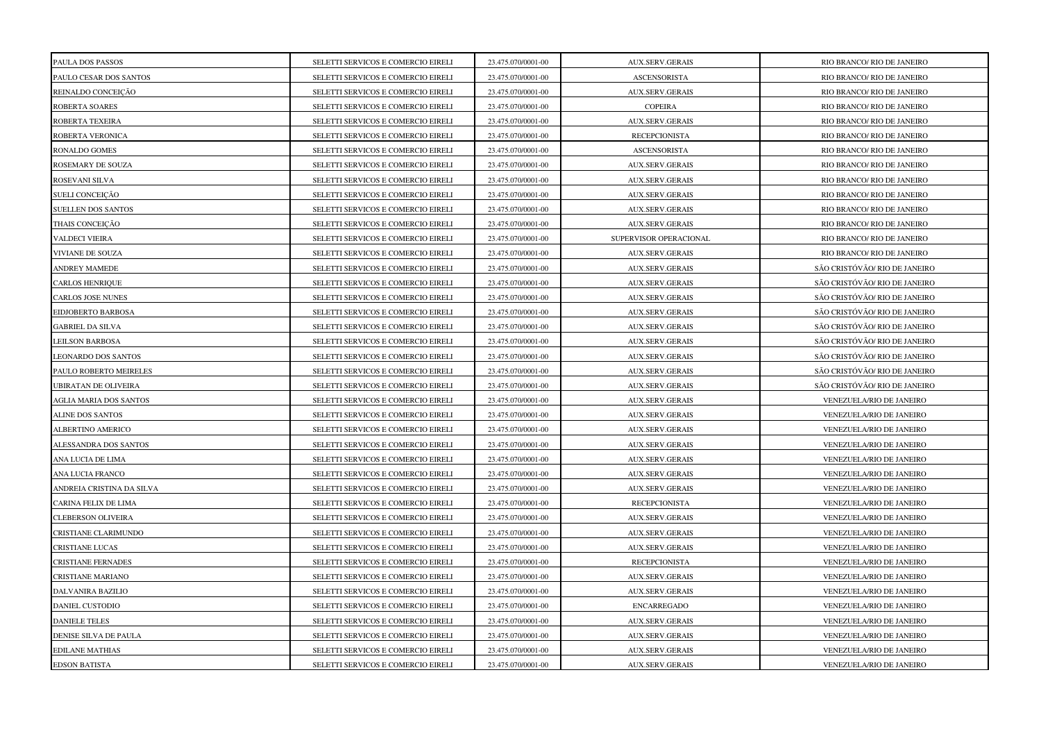| PAULA DOS PASSOS          | SELETTI SERVICOS E COMERCIO EIRELI | 23.475.070/0001-00 | <b>AUX.SERV.GERAIS</b> | RIO BRANCO/ RIO DE JANEIRO    |
|---------------------------|------------------------------------|--------------------|------------------------|-------------------------------|
| PAULO CESAR DOS SANTOS    | SELETTI SERVICOS E COMERCIO EIRELI | 23.475.070/0001-00 | <b>ASCENSORISTA</b>    | RIO BRANCO/ RIO DE JANEIRO    |
| REINALDO CONCEIÇÃO        | SELETTI SERVICOS E COMERCIO EIRELI | 23.475.070/0001-00 | AUX.SERV.GERAIS        | RIO BRANCO/ RIO DE JANEIRO    |
| ROBERTA SOARES            | SELETTI SERVICOS E COMERCIO EIRELI | 23.475.070/0001-00 | <b>COPEIRA</b>         | RIO BRANCO/ RIO DE JANEIRO    |
| ROBERTA TEXEIRA           | SELETTI SERVICOS E COMERCIO EIRELI | 23.475.070/0001-00 | <b>AUX.SERV.GERAIS</b> | RIO BRANCO/ RIO DE JANEIRO    |
| ROBERTA VERONICA          | SELETTI SERVICOS E COMERCIO EIRELI | 23.475.070/0001-00 | <b>RECEPCIONISTA</b>   | RIO BRANCO/ RIO DE JANEIRO    |
| RONALDO GOMES             | SELETTI SERVICOS E COMERCIO EIRELI | 23.475.070/0001-00 | <b>ASCENSORISTA</b>    | RIO BRANCO/ RIO DE JANEIRO    |
| ROSEMARY DE SOUZA         | SELETTI SERVICOS E COMERCIO EIRELI | 23.475.070/0001-00 | <b>AUX.SERV.GERAIS</b> | RIO BRANCO/ RIO DE JANEIRO    |
| ROSEVANI SILVA            | SELETTI SERVICOS E COMERCIO EIRELI | 23.475.070/0001-00 | <b>AUX.SERV.GERAIS</b> | RIO BRANCO/ RIO DE JANEIRO    |
| SUELI CONCEIÇÃO           | SELETTI SERVICOS E COMERCIO EIRELI | 23.475.070/0001-00 | <b>AUX.SERV.GERAIS</b> | RIO BRANCO/ RIO DE JANEIRO    |
| SUELLEN DOS SANTOS        | SELETTI SERVICOS E COMERCIO EIRELI | 23.475.070/0001-00 | <b>AUX.SERV.GERAIS</b> | RIO BRANCO/ RIO DE JANEIRO    |
| THAIS CONCEIÇÃO           | SELETTI SERVICOS E COMERCIO EIRELI | 23.475.070/0001-00 | <b>AUX.SERV.GERAIS</b> | RIO BRANCO/ RIO DE JANEIRO    |
| <b>VALDECI VIEIRA</b>     | SELETTI SERVICOS E COMERCIO EIRELI | 23.475.070/0001-00 | SUPERVISOR OPERACIONAL | RIO BRANCO/ RIO DE JANEIRO    |
| VIVIANE DE SOUZA          | SELETTI SERVICOS E COMERCIO EIRELI | 23.475.070/0001-00 | <b>AUX.SERV.GERAIS</b> | RIO BRANCO/ RIO DE JANEIRO    |
| <b>ANDREY MAMEDE</b>      | SELETTI SERVICOS E COMERCIO EIRELI | 23.475.070/0001-00 | <b>AUX.SERV.GERAIS</b> | SÃO CRISTÓVÃO/ RIO DE JANEIRO |
| CARLOS HENRIQUE           | SELETTI SERVICOS E COMERCIO EIRELI | 23.475.070/0001-00 | <b>AUX.SERV.GERAIS</b> | SÃO CRISTÓVÃO/ RIO DE JANEIRO |
| <b>CARLOS JOSE NUNES</b>  | SELETTI SERVICOS E COMERCIO EIRELI | 23.475.070/0001-00 | <b>AUX.SERV.GERAIS</b> | SÃO CRISTÓVÃO/ RIO DE JANEIRO |
| EIDJOBERTO BARBOSA        | SELETTI SERVICOS E COMERCIO EIRELI | 23.475.070/0001-00 | <b>AUX.SERV.GERAIS</b> | SÃO CRISTÓVÃO/ RIO DE JANEIRO |
| <b>GABRIEL DA SILVA</b>   | SELETTI SERVICOS E COMERCIO EIRELI | 23.475.070/0001-00 | <b>AUX.SERV.GERAIS</b> | SÃO CRISTÓVÃO/ RIO DE JANEIRO |
| <b>LEILSON BARBOSA</b>    | SELETTI SERVICOS E COMERCIO EIRELI | 23.475.070/0001-00 | <b>AUX.SERV.GERAIS</b> | SÃO CRISTÓVÃO/ RIO DE JANEIRO |
| LEONARDO DOS SANTOS       | SELETTI SERVICOS E COMERCIO EIRELI | 23.475.070/0001-00 | AUX.SERV.GERAIS        | SÃO CRISTÓVÃO/ RIO DE JANEIRO |
| PAULO ROBERTO MEIRELES    | SELETTI SERVICOS E COMERCIO EIRELI | 23.475.070/0001-00 | AUX.SERV.GERAIS        | SÃO CRISTÓVÃO/ RIO DE JANEIRO |
| UBIRATAN DE OLIVEIRA      | SELETTI SERVICOS E COMERCIO EIRELI | 23.475.070/0001-00 | <b>AUX.SERV.GERAIS</b> | SÃO CRISTÓVÃO/ RIO DE JANEIRO |
| AGLIA MARIA DOS SANTOS    | SELETTI SERVICOS E COMERCIO EIRELI | 23.475.070/0001-00 | <b>AUX.SERV.GERAIS</b> | VENEZUELA/RIO DE JANEIRO      |
| ALINE DOS SANTOS          | SELETTI SERVICOS E COMERCIO EIRELI | 23.475.070/0001-00 | <b>AUX.SERV.GERAIS</b> | VENEZUELA/RIO DE JANEIRO      |
| ALBERTINO AMERICO         | SELETTI SERVICOS E COMERCIO EIRELI | 23.475.070/0001-00 | <b>AUX.SERV.GERAIS</b> | VENEZUELA/RIO DE JANEIRO      |
| ALESSANDRA DOS SANTOS     | SELETTI SERVICOS E COMERCIO EIRELI | 23.475.070/0001-00 | <b>AUX.SERV.GERAIS</b> | VENEZUELA/RIO DE JANEIRO      |
| ANA LUCIA DE LIMA         | SELETTI SERVICOS E COMERCIO EIRELI | 23.475.070/0001-00 | AUX.SERV.GERAIS        | VENEZUELA/RIO DE JANEIRO      |
| ANA LUCIA FRANCO          | SELETTI SERVICOS E COMERCIO EIRELI | 23.475.070/0001-00 | <b>AUX.SERV.GERAIS</b> | VENEZUELA/RIO DE JANEIRO      |
| ANDREIA CRISTINA DA SILVA | SELETTI SERVICOS E COMERCIO EIRELI | 23.475.070/0001-00 | <b>AUX.SERV.GERAIS</b> | VENEZUELA/RIO DE JANEIRO      |
| CARINA FELIX DE LIMA      | SELETTI SERVICOS E COMERCIO EIRELI | 23.475.070/0001-00 | <b>RECEPCIONISTA</b>   | VENEZUELA/RIO DE JANEIRO      |
| CLEBERSON OLIVEIRA        | SELETTI SERVICOS E COMERCIO EIRELI | 23.475.070/0001-00 | <b>AUX.SERV.GERAIS</b> | VENEZUELA/RIO DE JANEIRO      |
| CRISTIANE CLARIMUNDO      | SELETTI SERVICOS E COMERCIO EIRELI | 23.475.070/0001-00 | AUX.SERV.GERAIS        | VENEZUELA/RIO DE JANEIRO      |
| CRISTIANE LUCAS           | SELETTI SERVICOS E COMERCIO EIRELI | 23.475.070/0001-00 | AUX.SERV.GERAIS        | VENEZUELA/RIO DE JANEIRO      |
| <b>CRISTIANE FERNADES</b> | SELETTI SERVICOS E COMERCIO EIRELI | 23.475.070/0001-00 | <b>RECEPCIONISTA</b>   | VENEZUELA/RIO DE JANEIRO      |
| CRISTIANE MARIANO         | SELETTI SERVICOS E COMERCIO EIRELI | 23.475.070/0001-00 | <b>AUX.SERV.GERAIS</b> | VENEZUELA/RIO DE JANEIRO      |
| DALVANIRA BAZILIO         | SELETTI SERVICOS E COMERCIO EIRELI | 23.475.070/0001-00 | <b>AUX.SERV.GERAIS</b> | VENEZUELA/RIO DE JANEIRO      |
| <b>DANIEL CUSTODIO</b>    | SELETTI SERVICOS E COMERCIO EIRELI | 23.475.070/0001-00 | <b>ENCARREGADO</b>     | VENEZUELA/RIO DE JANEIRO      |
| <b>DANIELE TELES</b>      | SELETTI SERVICOS E COMERCIO EIRELI | 23.475.070/0001-00 | <b>AUX.SERV.GERAIS</b> | VENEZUELA/RIO DE JANEIRO      |
| DENISE SILVA DE PAULA     | SELETTI SERVICOS E COMERCIO EIRELI | 23.475.070/0001-00 | <b>AUX.SERV.GERAIS</b> | VENEZUELA/RIO DE JANEIRO      |
| EDILANE MATHIAS           | SELETTI SERVICOS E COMERCIO EIRELI | 23.475.070/0001-00 | <b>AUX.SERV.GERAIS</b> | VENEZUELA/RIO DE JANEIRO      |
| <b>EDSON BATISTA</b>      | SELETTI SERVICOS E COMERCIO EIRELI | 23.475.070/0001-00 | AUX.SERV.GERAIS        | VENEZUELA/RIO DE JANEIRO      |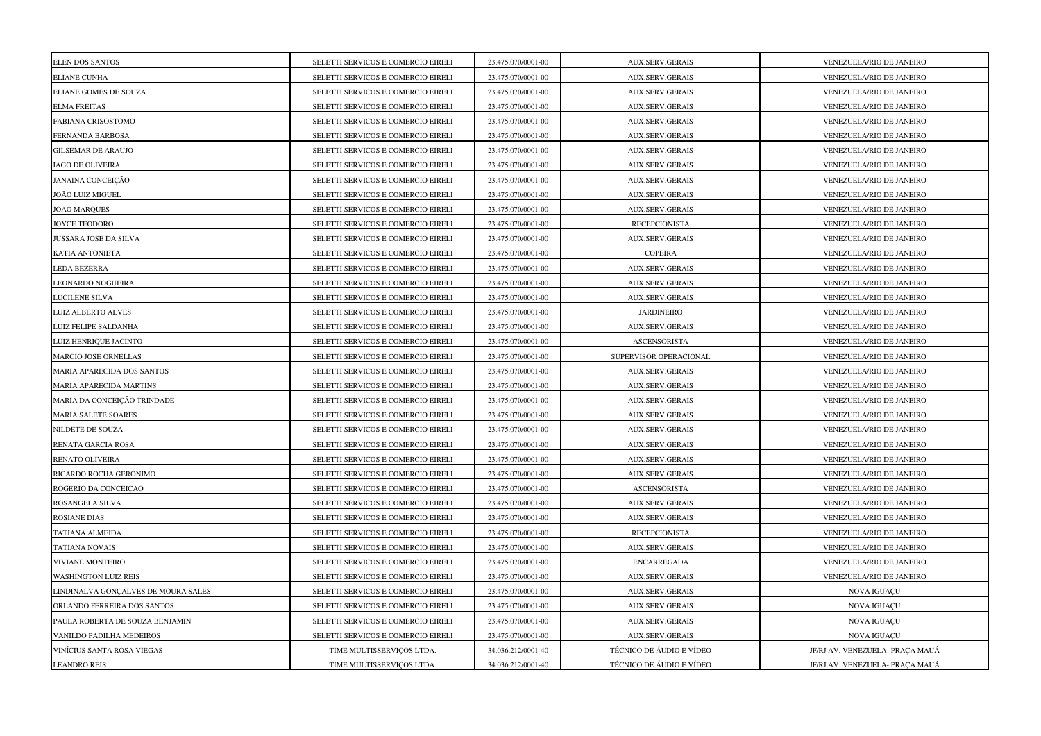| <b>ELEN DOS SANTOS</b>              | SELETTI SERVICOS E COMERCIO EIRELI | 23.475.070/0001-00 | <b>AUX.SERV.GERAIS</b>   | VENEZUELA/RIO DE JANEIRO        |
|-------------------------------------|------------------------------------|--------------------|--------------------------|---------------------------------|
| ELIANE CUNHA                        | SELETTI SERVICOS E COMERCIO EIRELI | 23.475.070/0001-00 | <b>AUX.SERV.GERAIS</b>   | VENEZUELA/RIO DE JANEIRO        |
| ELIANE GOMES DE SOUZA               | SELETTI SERVICOS E COMERCIO EIRELI | 23.475.070/0001-00 | <b>AUX.SERV.GERAIS</b>   | VENEZUELA/RIO DE JANEIRO        |
| ELMA FREITAS                        | SELETTI SERVICOS E COMERCIO EIRELI | 23.475.070/0001-00 | <b>AUX.SERV.GERAIS</b>   | VENEZUELA/RIO DE JANEIRO        |
| FABIANA CRISOSTOMO                  | SELETTI SERVICOS E COMERCIO EIRELI | 23.475.070/0001-00 | <b>AUX.SERV.GERAIS</b>   | VENEZUELA/RIO DE JANEIRO        |
| FERNANDA BARBOSA                    | SELETTI SERVICOS E COMERCIO EIRELI | 23.475.070/0001-00 | <b>AUX.SERV.GERAIS</b>   | VENEZUELA/RIO DE JANEIRO        |
| GILSEMAR DE ARAUJO                  | SELETTI SERVICOS E COMERCIO EIRELI | 23.475.070/0001-00 | AUX.SERV.GERAIS          | VENEZUELA/RIO DE JANEIRO        |
| IAGO DE OLIVEIRA                    | SELETTI SERVICOS E COMERCIO EIRELI | 23.475.070/0001-00 | AUX.SERV.GERAIS          | VENEZUELA/RIO DE JANEIRO        |
| JANAINA CONCEIÇÃO                   | SELETTI SERVICOS E COMERCIO EIRELI | 23.475.070/0001-00 | <b>AUX.SERV.GERAIS</b>   | VENEZUELA/RIO DE JANEIRO        |
| JOÃO LUIZ MIGUEL                    | SELETTI SERVICOS E COMERCIO EIRELI | 23.475.070/0001-00 | <b>AUX.SERV.GERAIS</b>   | VENEZUELA/RIO DE JANEIRO        |
| JOÃO MARQUES                        | SELETTI SERVICOS E COMERCIO EIRELI | 23.475.070/0001-00 | <b>AUX.SERV.GERAIS</b>   | VENEZUELA/RIO DE JANEIRO        |
| JOYCE TEODORO                       | SELETTI SERVICOS E COMERCIO EIRELI | 23.475.070/0001-00 | <b>RECEPCIONISTA</b>     | VENEZUELA/RIO DE JANEIRO        |
| JUSSARA JOSE DA SILVA               | SELETTI SERVICOS E COMERCIO EIRELI | 23.475.070/0001-00 | <b>AUX.SERV.GERAIS</b>   | VENEZUELA/RIO DE JANEIRO        |
| KATIA ANTONIETA                     | SELETTI SERVICOS E COMERCIO EIRELI | 23.475.070/0001-00 | <b>COPEIRA</b>           | VENEZUELA/RIO DE JANEIRO        |
| <b>LEDA BEZERRA</b>                 | SELETTI SERVICOS E COMERCIO EIRELI | 23.475.070/0001-00 | <b>AUX.SERV.GERAIS</b>   | VENEZUELA/RIO DE JANEIRO        |
| LEONARDO NOGUEIRA                   | SELETTI SERVICOS E COMERCIO EIRELI | 23.475.070/0001-00 | <b>AUX.SERV.GERAIS</b>   | VENEZUELA/RIO DE JANEIRO        |
| LUCILENE SILVA                      | SELETTI SERVICOS E COMERCIO EIRELI | 23.475.070/0001-00 | <b>AUX.SERV.GERAIS</b>   | VENEZUELA/RIO DE JANEIRO        |
| <b>LUIZ ALBERTO ALVES</b>           | SELETTI SERVICOS E COMERCIO EIRELI | 23.475.070/0001-00 | <b>JARDINEIRO</b>        | VENEZUELA/RIO DE JANEIRO        |
| LUIZ FELIPE SALDANHA                | SELETTI SERVICOS E COMERCIO EIRELI | 23.475.070/0001-00 | <b>AUX.SERV.GERAIS</b>   | VENEZUELA/RIO DE JANEIRO        |
| LUIZ HENRIQUE JACINTO               | SELETTI SERVICOS E COMERCIO EIRELI | 23.475.070/0001-00 | <b>ASCENSORISTA</b>      | VENEZUELA/RIO DE JANEIRO        |
| MARCIO JOSE ORNELLAS                | SELETTI SERVICOS E COMERCIO EIRELI | 23.475.070/0001-00 | SUPERVISOR OPERACIONAL   | VENEZUELA/RIO DE JANEIRO        |
| MARIA APARECIDA DOS SANTOS          | SELETTI SERVICOS E COMERCIO EIRELI | 23.475.070/0001-00 | <b>AUX.SERV.GERAIS</b>   | VENEZUELA/RIO DE JANEIRO        |
| <b>MARIA APARECIDA MARTINS</b>      | SELETTI SERVICOS E COMERCIO EIRELI | 23.475.070/0001-00 | <b>AUX.SERV.GERAIS</b>   | VENEZUELA/RIO DE JANEIRO        |
| MARIA DA CONCEIÇÃO TRINDADE         | SELETTI SERVICOS E COMERCIO EIRELI | 23.475.070/0001-00 | <b>AUX.SERV.GERAIS</b>   | VENEZUELA/RIO DE JANEIRO        |
| MARIA SALETE SOARES                 | SELETTI SERVICOS E COMERCIO EIRELI | 23.475.070/0001-00 | <b>AUX.SERV.GERAIS</b>   | VENEZUELA/RIO DE JANEIRO        |
| NILDETE DE SOUZA                    | SELETTI SERVICOS E COMERCIO EIRELI | 23.475.070/0001-00 | <b>AUX.SERV.GERAIS</b>   | VENEZUELA/RIO DE JANEIRO        |
| RENATA GARCIA ROSA                  | SELETTI SERVICOS E COMERCIO EIRELI | 23.475.070/0001-00 | <b>AUX.SERV.GERAIS</b>   | VENEZUELA/RIO DE JANEIRO        |
| RENATO OLIVEIRA                     | SELETTI SERVICOS E COMERCIO EIRELI | 23.475.070/0001-00 | <b>AUX.SERV.GERAIS</b>   | VENEZUELA/RIO DE JANEIRO        |
| RICARDO ROCHA GERONIMO              | SELETTI SERVICOS E COMERCIO EIRELI | 23.475.070/0001-00 | <b>AUX.SERV.GERAIS</b>   | VENEZUELA/RIO DE JANEIRO        |
| ROGERIO DA CONCEIÇÃO                | SELETTI SERVICOS E COMERCIO EIRELI | 23.475.070/0001-00 | <b>ASCENSORISTA</b>      | VENEZUELA/RIO DE JANEIRO        |
| ROSANGELA SILVA                     | SELETTI SERVICOS E COMERCIO EIRELI | 23.475.070/0001-00 | <b>AUX.SERV.GERAIS</b>   | VENEZUELA/RIO DE JANEIRO        |
| ROSIANE DIAS                        | SELETTI SERVICOS E COMERCIO EIRELI | 23.475.070/0001-00 | <b>AUX.SERV.GERAIS</b>   | VENEZUELA/RIO DE JANEIRO        |
| TATIANA ALMEIDA                     | SELETTI SERVICOS E COMERCIO EIRELI | 23.475.070/0001-00 | <b>RECEPCIONISTA</b>     | VENEZUELA/RIO DE JANEIRO        |
| TATIANA NOVAIS                      | SELETTI SERVICOS E COMERCIO EIRELI | 23.475.070/0001-00 | <b>AUX.SERV.GERAIS</b>   | VENEZUELA/RIO DE JANEIRO        |
| VIVIANE MONTEIRO                    | SELETTI SERVICOS E COMERCIO EIRELI | 23.475.070/0001-00 | <b>ENCARREGADA</b>       | VENEZUELA/RIO DE JANEIRO        |
| <b>WASHINGTON LUIZ REIS</b>         | SELETTI SERVICOS E COMERCIO EIRELI | 23.475.070/0001-00 | AUX.SERV.GERAIS          | VENEZUELA/RIO DE JANEIRO        |
| LINDINALVA GONÇALVES DE MOURA SALES | SELETTI SERVICOS E COMERCIO EIRELI | 23.475.070/0001-00 | <b>AUX.SERV.GERAIS</b>   | <b>NOVA IGUAÇU</b>              |
| ORLANDO FERREIRA DOS SANTOS         | SELETTI SERVICOS E COMERCIO EIRELI | 23.475.070/0001-00 | AUX.SERV.GERAIS          | NOVA IGUAÇU                     |
| PAULA ROBERTA DE SOUZA BENJAMIN     | SELETTI SERVICOS E COMERCIO EIRELI | 23.475.070/0001-00 | AUX.SERV.GERAIS          | NOVA IGUAÇU                     |
| VANILDO PADILHA MEDEIROS            | SELETTI SERVICOS E COMERCIO EIRELI | 23.475.070/0001-00 | <b>AUX.SERV.GERAIS</b>   | <b>NOVA IGUAÇU</b>              |
| VINÍCIUS SANTA ROSA VIEGAS          | TIME MULTISSERVIÇOS LTDA.          | 34.036.212/0001-40 | TÉCNICO DE ÁUDIO E VÍDEO | JF/RJ AV. VENEZUELA- PRAÇA MAUÁ |
| <b>LEANDRO REIS</b>                 | TIME MULTISSERVIÇOS LTDA.          | 34.036.212/0001-40 | TÉCNICO DE ÁUDIO E VÍDEO | JF/RJ AV. VENEZUELA- PRAÇA MAUÁ |
|                                     |                                    |                    |                          |                                 |